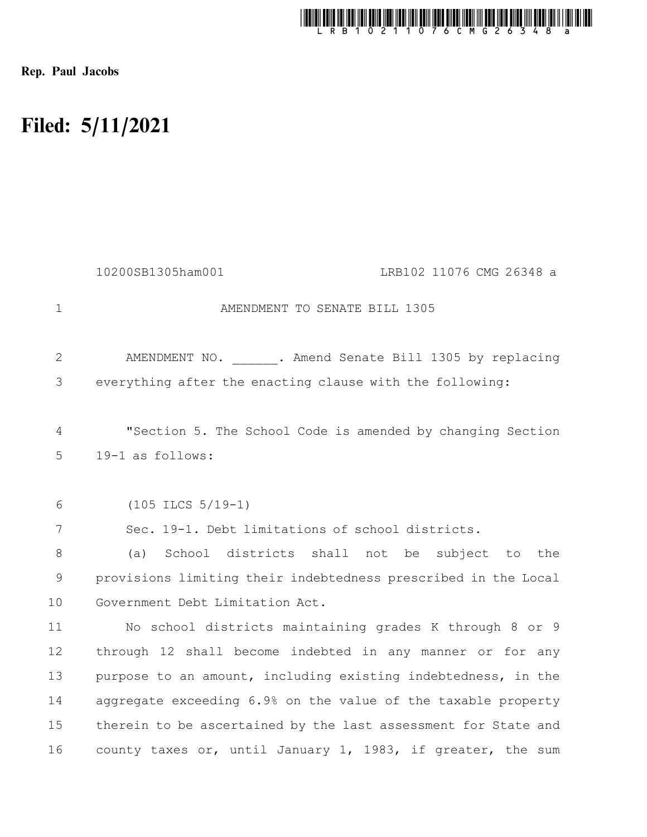

Rep. Paul Jacobs

## Filed: 5/11/2021

|              | 10200SB1305ham001<br>LRB102 11076 CMG 26348 a                                  |
|--------------|--------------------------------------------------------------------------------|
| $\mathbf{1}$ | AMENDMENT TO SENATE BILL 1305                                                  |
| 2            | AMENDMENT NO. . Amend Senate Bill 1305 by replacing                            |
| 3            | everything after the enacting clause with the following:                       |
| 4<br>5       | "Section 5. The School Code is amended by changing Section<br>19-1 as follows: |
| 6            | $(105$ ILCS $5/19-1)$                                                          |
| 7            | Sec. 19-1. Debt limitations of school districts.                               |
| 8            | School districts shall not<br>be subject to<br>(a)<br>the                      |
| 9            | provisions limiting their indebtedness prescribed in the Local                 |
| 10           | Government Debt Limitation Act.                                                |
| 11           | No school districts maintaining grades K through 8 or 9                        |
| 12           | through 12 shall become indebted in any manner or for any                      |
| 13           | purpose to an amount, including existing indebtedness, in the                  |
| 14           | aggregate exceeding 6.9% on the value of the taxable property                  |
| 15           | therein to be ascertained by the last assessment for State and                 |
| 16           | county taxes or, until January 1, 1983, if greater, the sum                    |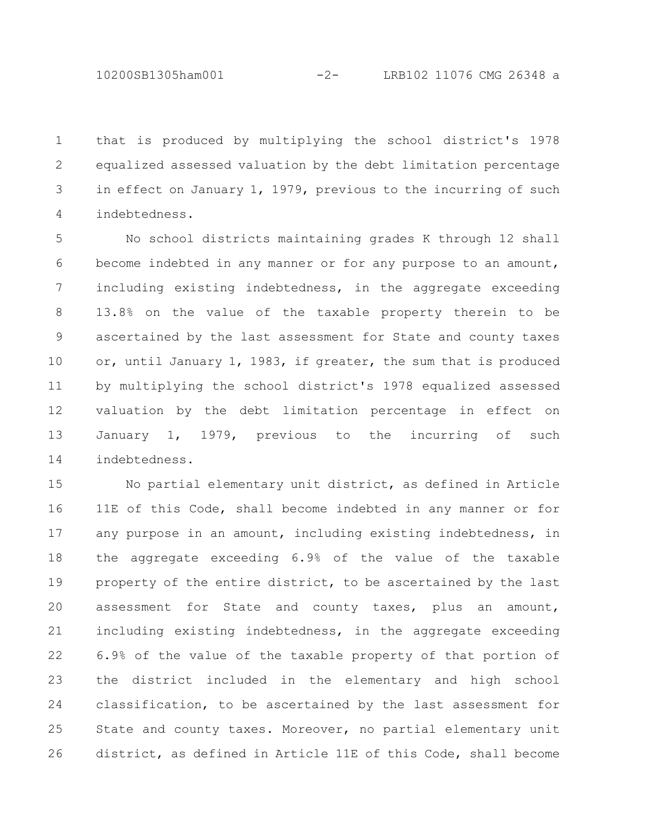that is produced by multiplying the school district's 1978 equalized assessed valuation by the debt limitation percentage in effect on January 1, 1979, previous to the incurring of such indebtedness. 1 2 3 4

No school districts maintaining grades K through 12 shall become indebted in any manner or for any purpose to an amount, including existing indebtedness, in the aggregate exceeding 13.8% on the value of the taxable property therein to be ascertained by the last assessment for State and county taxes or, until January 1, 1983, if greater, the sum that is produced by multiplying the school district's 1978 equalized assessed valuation by the debt limitation percentage in effect on January 1, 1979, previous to the incurring of such indebtedness. 5 6 7 8 9 10 11 12 13 14

No partial elementary unit district, as defined in Article 11E of this Code, shall become indebted in any manner or for any purpose in an amount, including existing indebtedness, in the aggregate exceeding 6.9% of the value of the taxable property of the entire district, to be ascertained by the last assessment for State and county taxes, plus an amount, including existing indebtedness, in the aggregate exceeding 6.9% of the value of the taxable property of that portion of the district included in the elementary and high school classification, to be ascertained by the last assessment for State and county taxes. Moreover, no partial elementary unit district, as defined in Article 11E of this Code, shall become 15 16 17 18 19 20 21 22 23 24 25 26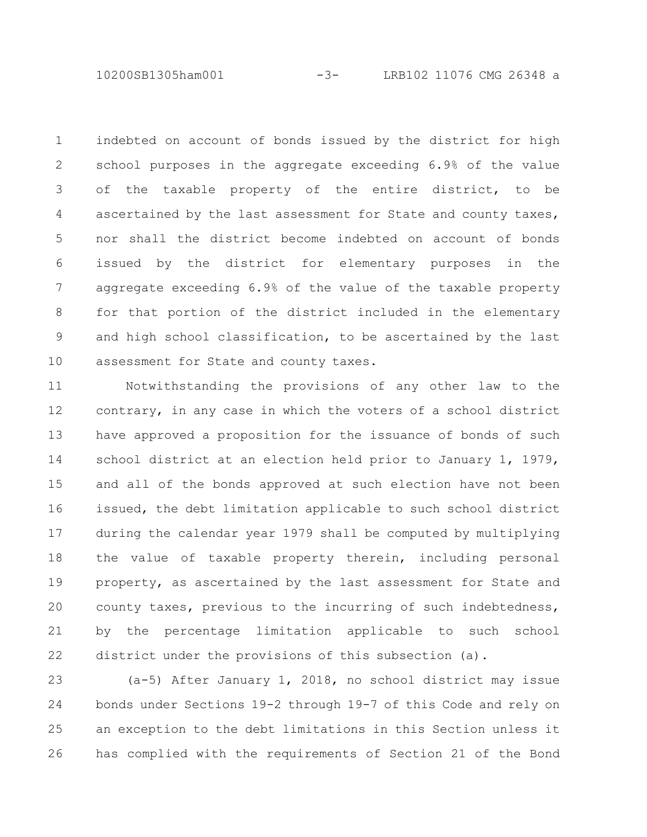10200SB1305ham001 -3- LRB102 11076 CMG 26348 a

indebted on account of bonds issued by the district for high school purposes in the aggregate exceeding 6.9% of the value of the taxable property of the entire district, to be ascertained by the last assessment for State and county taxes, nor shall the district become indebted on account of bonds issued by the district for elementary purposes in the aggregate exceeding 6.9% of the value of the taxable property for that portion of the district included in the elementary and high school classification, to be ascertained by the last assessment for State and county taxes. 1 2 3 4 5 6 7 8 9 10

Notwithstanding the provisions of any other law to the contrary, in any case in which the voters of a school district have approved a proposition for the issuance of bonds of such school district at an election held prior to January 1, 1979, and all of the bonds approved at such election have not been issued, the debt limitation applicable to such school district during the calendar year 1979 shall be computed by multiplying the value of taxable property therein, including personal property, as ascertained by the last assessment for State and county taxes, previous to the incurring of such indebtedness, by the percentage limitation applicable to such school district under the provisions of this subsection (a). 11 12 13 14 15 16 17 18 19 20 21 22

(a-5) After January 1, 2018, no school district may issue bonds under Sections 19-2 through 19-7 of this Code and rely on an exception to the debt limitations in this Section unless it has complied with the requirements of Section 21 of the Bond 23 24 25 26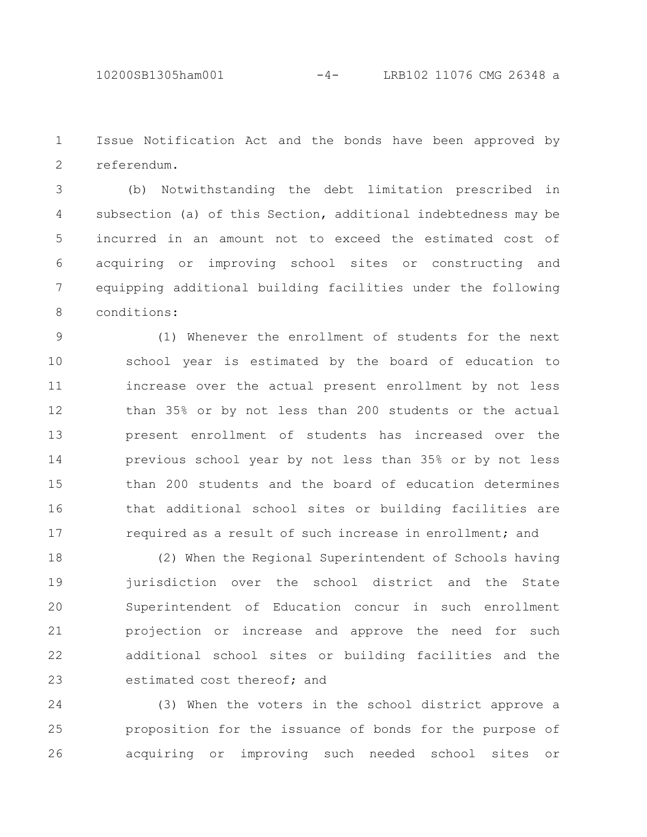Issue Notification Act and the bonds have been approved by referendum. 1 2

(b) Notwithstanding the debt limitation prescribed in subsection (a) of this Section, additional indebtedness may be incurred in an amount not to exceed the estimated cost of acquiring or improving school sites or constructing and equipping additional building facilities under the following conditions: 3 4 5 6 7 8

(1) Whenever the enrollment of students for the next school year is estimated by the board of education to increase over the actual present enrollment by not less than 35% or by not less than 200 students or the actual present enrollment of students has increased over the previous school year by not less than 35% or by not less than 200 students and the board of education determines that additional school sites or building facilities are required as a result of such increase in enrollment; and 9 10 11 12 13 14 15 16 17

(2) When the Regional Superintendent of Schools having jurisdiction over the school district and the State Superintendent of Education concur in such enrollment projection or increase and approve the need for such additional school sites or building facilities and the estimated cost thereof; and 18 19 20 21 22 23

(3) When the voters in the school district approve a proposition for the issuance of bonds for the purpose of acquiring or improving such needed school sites or 24 25 26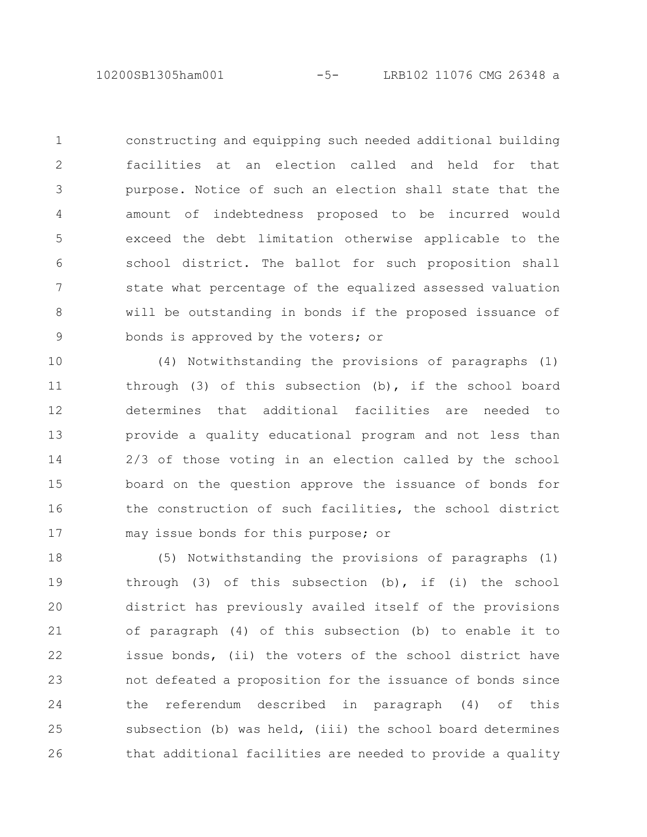10200SB1305ham001 -5- LRB102 11076 CMG 26348 a

constructing and equipping such needed additional building facilities at an election called and held for that purpose. Notice of such an election shall state that the amount of indebtedness proposed to be incurred would exceed the debt limitation otherwise applicable to the school district. The ballot for such proposition shall state what percentage of the equalized assessed valuation will be outstanding in bonds if the proposed issuance of bonds is approved by the voters; or 1 2 3 4 5 6 7 8 9

(4) Notwithstanding the provisions of paragraphs (1) through (3) of this subsection (b), if the school board determines that additional facilities are needed to provide a quality educational program and not less than 2/3 of those voting in an election called by the school board on the question approve the issuance of bonds for the construction of such facilities, the school district may issue bonds for this purpose; or 10 11 12 13 14 15 16 17

(5) Notwithstanding the provisions of paragraphs (1) through (3) of this subsection (b), if (i) the school district has previously availed itself of the provisions of paragraph (4) of this subsection (b) to enable it to issue bonds, (ii) the voters of the school district have not defeated a proposition for the issuance of bonds since the referendum described in paragraph (4) of this subsection (b) was held, (iii) the school board determines that additional facilities are needed to provide a quality 18 19 20 21 22 23 24 25 26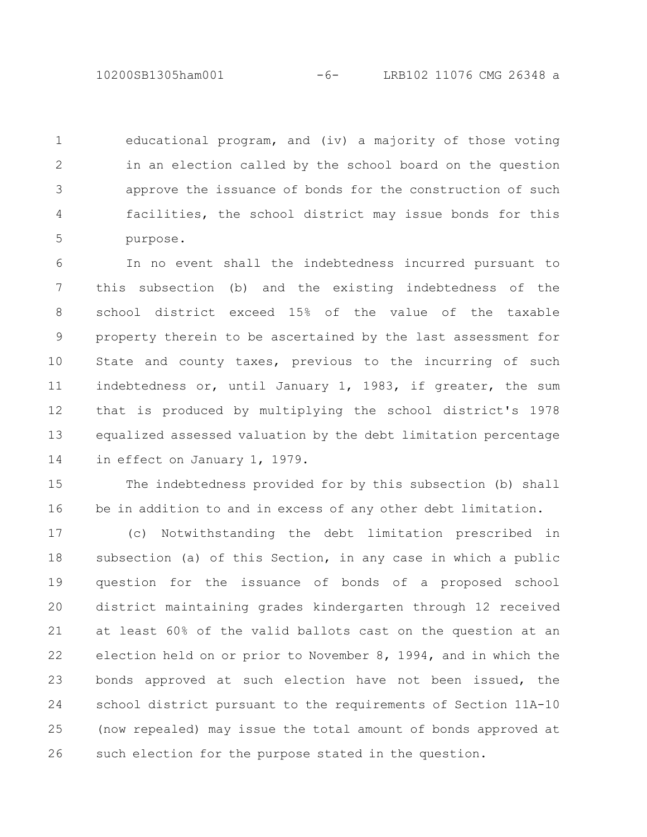educational program, and (iv) a majority of those voting in an election called by the school board on the question approve the issuance of bonds for the construction of such facilities, the school district may issue bonds for this purpose. 1 2 3 4 5

In no event shall the indebtedness incurred pursuant to this subsection (b) and the existing indebtedness of the school district exceed 15% of the value of the taxable property therein to be ascertained by the last assessment for State and county taxes, previous to the incurring of such indebtedness or, until January 1, 1983, if greater, the sum that is produced by multiplying the school district's 1978 equalized assessed valuation by the debt limitation percentage in effect on January 1, 1979. 6 7 8 9 10 11 12 13 14

The indebtedness provided for by this subsection (b) shall be in addition to and in excess of any other debt limitation. 15 16

(c) Notwithstanding the debt limitation prescribed in subsection (a) of this Section, in any case in which a public question for the issuance of bonds of a proposed school district maintaining grades kindergarten through 12 received at least 60% of the valid ballots cast on the question at an election held on or prior to November 8, 1994, and in which the bonds approved at such election have not been issued, the school district pursuant to the requirements of Section 11A-10 (now repealed) may issue the total amount of bonds approved at such election for the purpose stated in the question. 17 18 19 20 21 22 23 24 25 26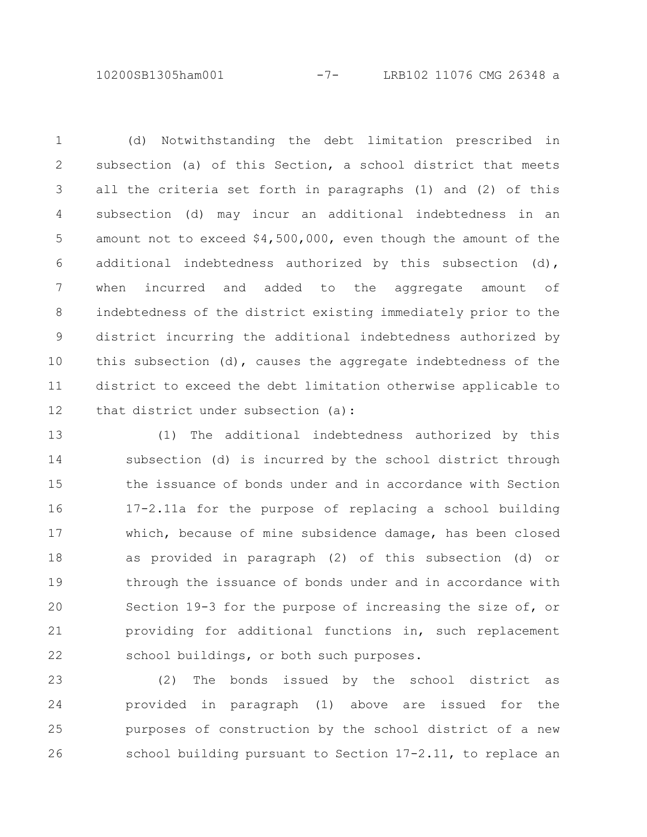10200SB1305ham001 -7- LRB102 11076 CMG 26348 a

(d) Notwithstanding the debt limitation prescribed in subsection (a) of this Section, a school district that meets all the criteria set forth in paragraphs (1) and (2) of this subsection (d) may incur an additional indebtedness in an amount not to exceed \$4,500,000, even though the amount of the additional indebtedness authorized by this subsection (d), when incurred and added to the aggregate amount of indebtedness of the district existing immediately prior to the district incurring the additional indebtedness authorized by this subsection (d), causes the aggregate indebtedness of the district to exceed the debt limitation otherwise applicable to that district under subsection (a): 1 2 3 4 5 6 7 8 9 10 11 12

(1) The additional indebtedness authorized by this subsection (d) is incurred by the school district through the issuance of bonds under and in accordance with Section 17-2.11a for the purpose of replacing a school building which, because of mine subsidence damage, has been closed as provided in paragraph (2) of this subsection (d) or through the issuance of bonds under and in accordance with Section 19-3 for the purpose of increasing the size of, or providing for additional functions in, such replacement school buildings, or both such purposes. 13 14 15 16 17 18 19 20 21 22

(2) The bonds issued by the school district as provided in paragraph (1) above are issued for the purposes of construction by the school district of a new school building pursuant to Section 17-2.11, to replace an 23 24 25 26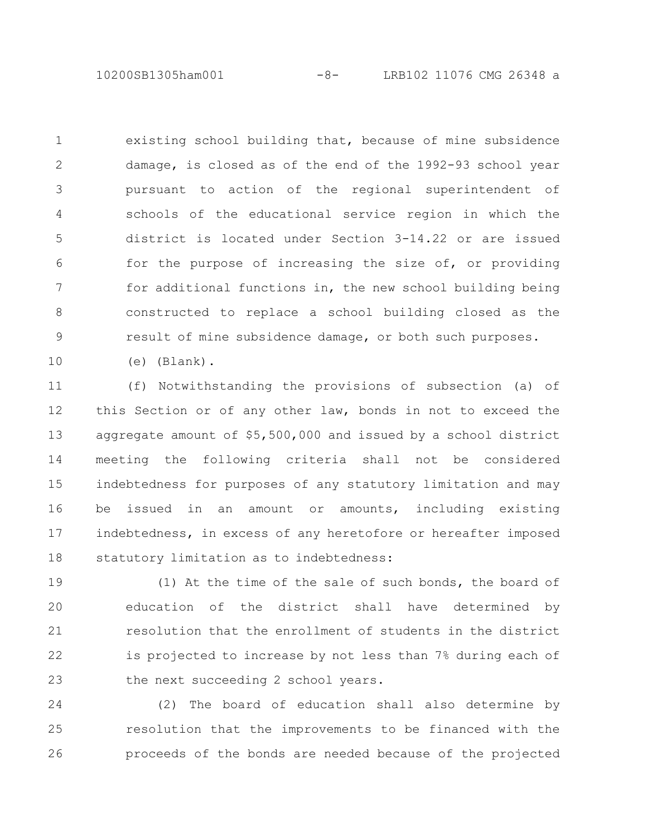10200SB1305ham001 -8- LRB102 11076 CMG 26348 a

existing school building that, because of mine subsidence damage, is closed as of the end of the 1992-93 school year pursuant to action of the regional superintendent of schools of the educational service region in which the district is located under Section 3-14.22 or are issued for the purpose of increasing the size of, or providing for additional functions in, the new school building being constructed to replace a school building closed as the result of mine subsidence damage, or both such purposes. 1 2 3 4 5 6 7 8 9

(e) (Blank).

10

(f) Notwithstanding the provisions of subsection (a) of this Section or of any other law, bonds in not to exceed the aggregate amount of \$5,500,000 and issued by a school district meeting the following criteria shall not be considered indebtedness for purposes of any statutory limitation and may be issued in an amount or amounts, including existing indebtedness, in excess of any heretofore or hereafter imposed statutory limitation as to indebtedness: 11 12 13 14 15 16 17 18

(1) At the time of the sale of such bonds, the board of education of the district shall have determined by resolution that the enrollment of students in the district is projected to increase by not less than 7% during each of the next succeeding 2 school years. 19 20 21 22 23

(2) The board of education shall also determine by resolution that the improvements to be financed with the proceeds of the bonds are needed because of the projected 24 25 26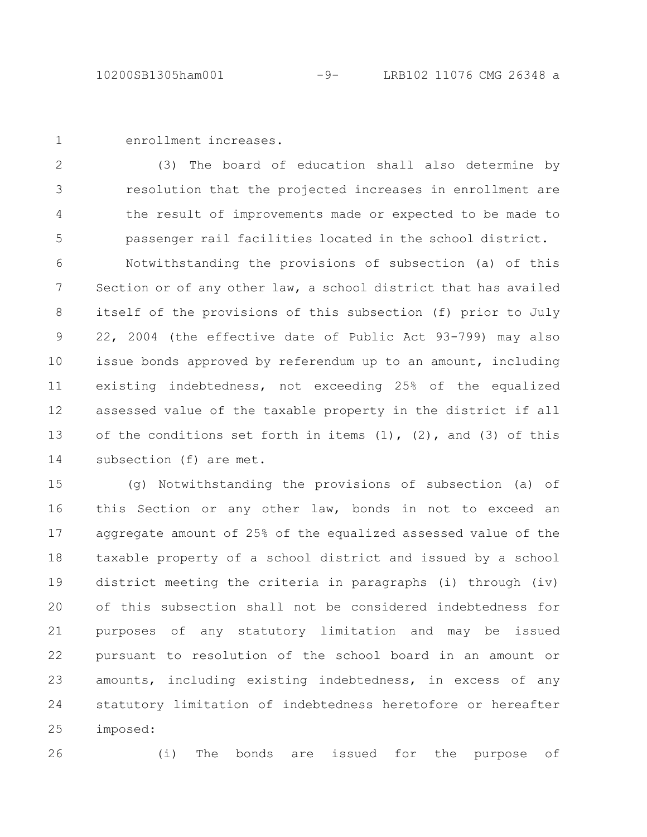1

enrollment increases.

(3) The board of education shall also determine by resolution that the projected increases in enrollment are the result of improvements made or expected to be made to passenger rail facilities located in the school district. 2 3 4 5

Notwithstanding the provisions of subsection (a) of this Section or of any other law, a school district that has availed itself of the provisions of this subsection (f) prior to July 22, 2004 (the effective date of Public Act 93-799) may also issue bonds approved by referendum up to an amount, including existing indebtedness, not exceeding 25% of the equalized assessed value of the taxable property in the district if all of the conditions set forth in items  $(1)$ ,  $(2)$ , and  $(3)$  of this subsection (f) are met. 6 7 8 9 10 11 12 13 14

(g) Notwithstanding the provisions of subsection (a) of this Section or any other law, bonds in not to exceed an aggregate amount of 25% of the equalized assessed value of the taxable property of a school district and issued by a school district meeting the criteria in paragraphs (i) through (iv) of this subsection shall not be considered indebtedness for purposes of any statutory limitation and may be issued pursuant to resolution of the school board in an amount or amounts, including existing indebtedness, in excess of any statutory limitation of indebtedness heretofore or hereafter imposed: 15 16 17 18 19 20 21 22 23 24 25

26

(i) The bonds are issued for the purpose of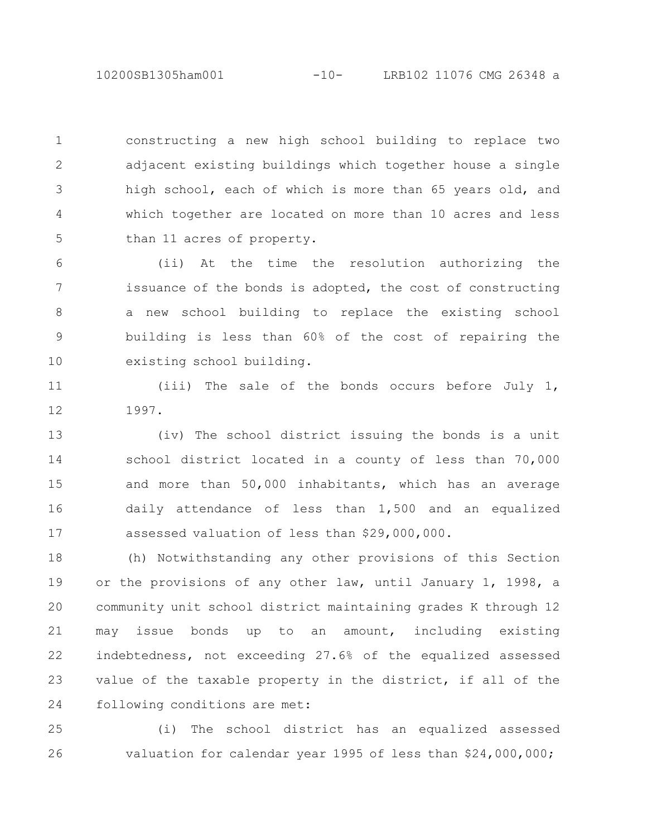10200SB1305ham001 -10- LRB102 11076 CMG 26348 a

constructing a new high school building to replace two adjacent existing buildings which together house a single high school, each of which is more than 65 years old, and which together are located on more than 10 acres and less than 11 acres of property. 1 2 3 4 5

(ii) At the time the resolution authorizing the issuance of the bonds is adopted, the cost of constructing a new school building to replace the existing school building is less than 60% of the cost of repairing the existing school building. 6 7 8 9 10

(iii) The sale of the bonds occurs before July 1, 1997. 11 12

(iv) The school district issuing the bonds is a unit school district located in a county of less than 70,000 and more than 50,000 inhabitants, which has an average daily attendance of less than 1,500 and an equalized assessed valuation of less than \$29,000,000. 13 14 15 16 17

(h) Notwithstanding any other provisions of this Section or the provisions of any other law, until January 1, 1998, a community unit school district maintaining grades K through 12 may issue bonds up to an amount, including existing indebtedness, not exceeding 27.6% of the equalized assessed value of the taxable property in the district, if all of the following conditions are met: 18 19 20 21 22 23 24

(i) The school district has an equalized assessed valuation for calendar year 1995 of less than \$24,000,000; 25 26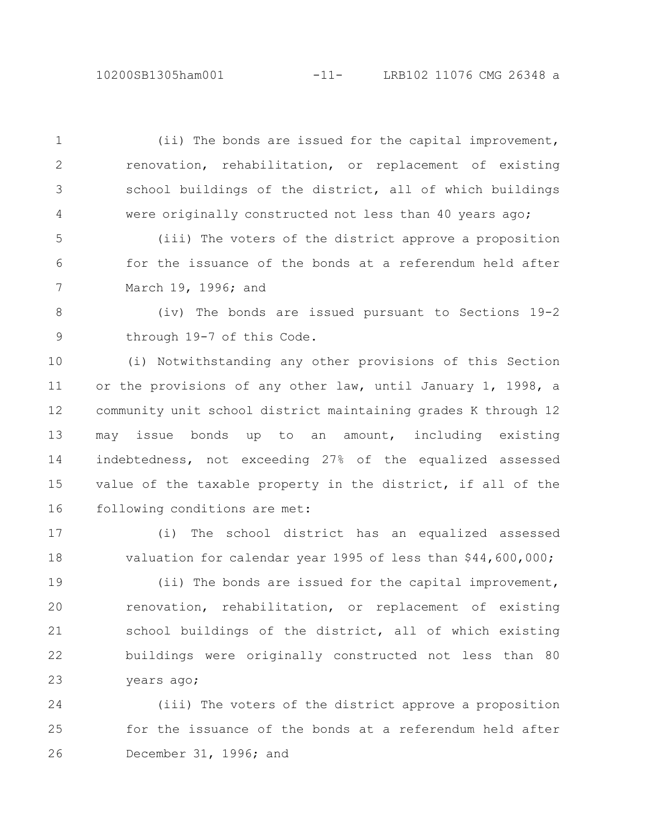(ii) The bonds are issued for the capital improvement, renovation, rehabilitation, or replacement of existing school buildings of the district, all of which buildings were originally constructed not less than 40 years ago; 1 2 3 4

(iii) The voters of the district approve a proposition for the issuance of the bonds at a referendum held after March 19, 1996; and 5 6 7

(iv) The bonds are issued pursuant to Sections 19-2 through 19-7 of this Code. 8 9

(i) Notwithstanding any other provisions of this Section or the provisions of any other law, until January 1, 1998, a community unit school district maintaining grades K through 12 may issue bonds up to an amount, including existing indebtedness, not exceeding 27% of the equalized assessed value of the taxable property in the district, if all of the following conditions are met: 10 11 12 13 14 15 16

(i) The school district has an equalized assessed valuation for calendar year 1995 of less than \$44,600,000; 17 18

(ii) The bonds are issued for the capital improvement, renovation, rehabilitation, or replacement of existing school buildings of the district, all of which existing buildings were originally constructed not less than 80 years ago; 19 20 21 22 23

(iii) The voters of the district approve a proposition for the issuance of the bonds at a referendum held after December 31, 1996; and 24 25 26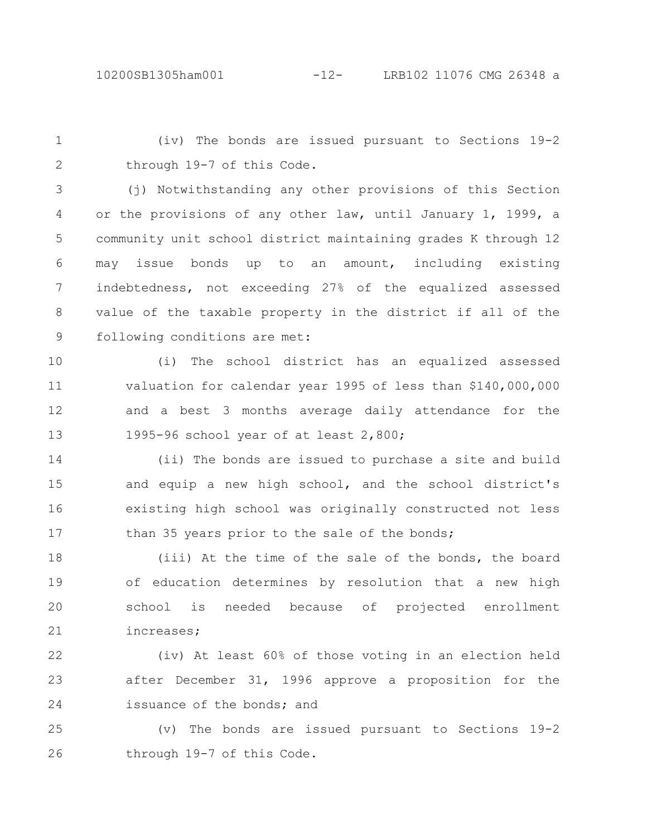(iv) The bonds are issued pursuant to Sections 19-2 through 19-7 of this Code. 1 2

(j) Notwithstanding any other provisions of this Section or the provisions of any other law, until January 1, 1999, a community unit school district maintaining grades K through 12 may issue bonds up to an amount, including existing indebtedness, not exceeding 27% of the equalized assessed value of the taxable property in the district if all of the following conditions are met: 3 4 5 6 7 8 9

(i) The school district has an equalized assessed valuation for calendar year 1995 of less than \$140,000,000 and a best 3 months average daily attendance for the 1995-96 school year of at least 2,800; 10 11 12 13

(ii) The bonds are issued to purchase a site and build and equip a new high school, and the school district's existing high school was originally constructed not less than 35 years prior to the sale of the bonds; 14 15 16 17

(iii) At the time of the sale of the bonds, the board of education determines by resolution that a new high school is needed because of projected enrollment increases; 18 19 20 21

(iv) At least 60% of those voting in an election held after December 31, 1996 approve a proposition for the issuance of the bonds; and 22 23 24

(v) The bonds are issued pursuant to Sections 19-2 through 19-7 of this Code. 25 26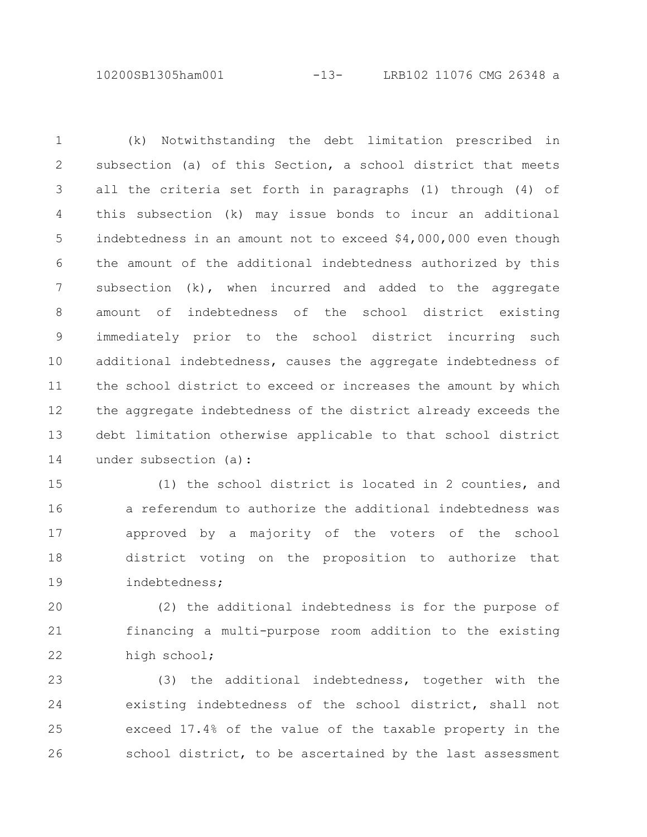10200SB1305ham001 -13- LRB102 11076 CMG 26348 a

(k) Notwithstanding the debt limitation prescribed in subsection (a) of this Section, a school district that meets all the criteria set forth in paragraphs (1) through (4) of this subsection (k) may issue bonds to incur an additional indebtedness in an amount not to exceed \$4,000,000 even though the amount of the additional indebtedness authorized by this subsection (k), when incurred and added to the aggregate amount of indebtedness of the school district existing immediately prior to the school district incurring such additional indebtedness, causes the aggregate indebtedness of the school district to exceed or increases the amount by which the aggregate indebtedness of the district already exceeds the debt limitation otherwise applicable to that school district under subsection (a): 1 2 3 4 5 6 7 8 9 10 11 12 13 14

(1) the school district is located in 2 counties, and a referendum to authorize the additional indebtedness was approved by a majority of the voters of the school district voting on the proposition to authorize that indebtedness; 15 16 17 18 19

(2) the additional indebtedness is for the purpose of financing a multi-purpose room addition to the existing high school; 20 21 22

(3) the additional indebtedness, together with the existing indebtedness of the school district, shall not exceed 17.4% of the value of the taxable property in the school district, to be ascertained by the last assessment 23 24 25 26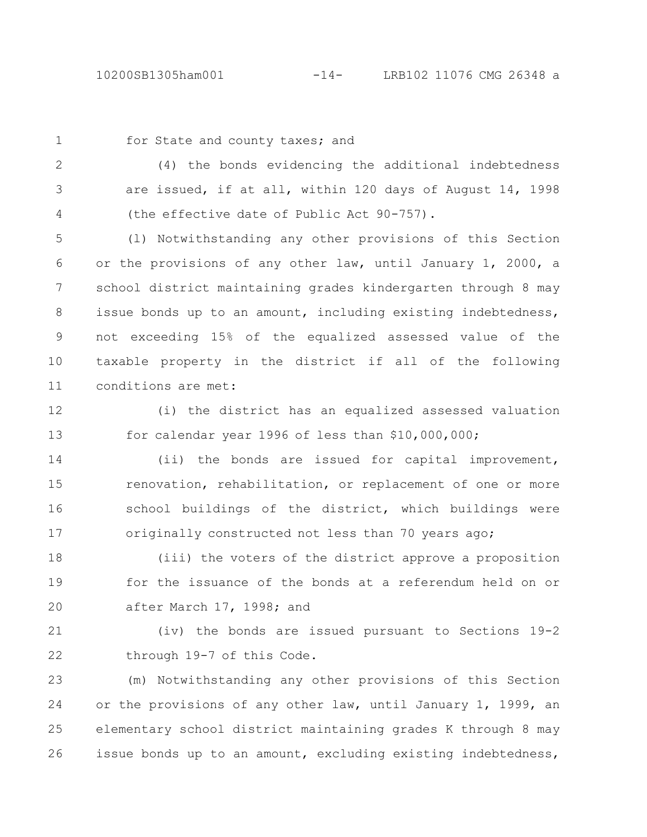1

## for State and county taxes; and

(4) the bonds evidencing the additional indebtedness are issued, if at all, within 120 days of August 14, 1998 (the effective date of Public Act 90-757). 2 3 4

(l) Notwithstanding any other provisions of this Section or the provisions of any other law, until January 1, 2000, a school district maintaining grades kindergarten through 8 may issue bonds up to an amount, including existing indebtedness, not exceeding 15% of the equalized assessed value of the taxable property in the district if all of the following conditions are met: 5 6 7 8 9 10 11

12

(i) the district has an equalized assessed valuation for calendar year 1996 of less than \$10,000,000; 13

(ii) the bonds are issued for capital improvement, renovation, rehabilitation, or replacement of one or more school buildings of the district, which buildings were originally constructed not less than 70 years ago; 14 15 16 17

(iii) the voters of the district approve a proposition for the issuance of the bonds at a referendum held on or after March 17, 1998; and 18 19 20

(iv) the bonds are issued pursuant to Sections 19-2 through 19-7 of this Code. 21 22

(m) Notwithstanding any other provisions of this Section or the provisions of any other law, until January 1, 1999, an elementary school district maintaining grades K through 8 may issue bonds up to an amount, excluding existing indebtedness, 23 24 25 26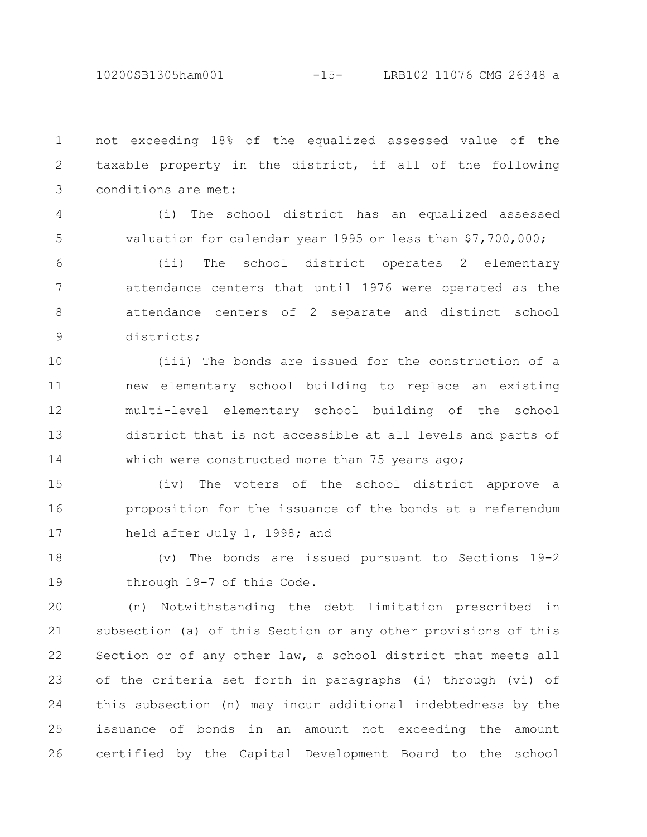not exceeding 18% of the equalized assessed value of the taxable property in the district, if all of the following conditions are met: 1 2 3

4

5

(i) The school district has an equalized assessed valuation for calendar year 1995 or less than \$7,700,000;

(ii) The school district operates 2 elementary attendance centers that until 1976 were operated as the attendance centers of 2 separate and distinct school districts; 6 7 8 9

(iii) The bonds are issued for the construction of a new elementary school building to replace an existing multi-level elementary school building of the school district that is not accessible at all levels and parts of which were constructed more than 75 years ago; 10 11 12 13 14

(iv) The voters of the school district approve a proposition for the issuance of the bonds at a referendum held after July 1, 1998; and 15 16 17

(v) The bonds are issued pursuant to Sections 19-2 through 19-7 of this Code. 18 19

(n) Notwithstanding the debt limitation prescribed in subsection (a) of this Section or any other provisions of this Section or of any other law, a school district that meets all of the criteria set forth in paragraphs (i) through (vi) of this subsection (n) may incur additional indebtedness by the issuance of bonds in an amount not exceeding the amount certified by the Capital Development Board to the school 20 21 22 23 24 25 26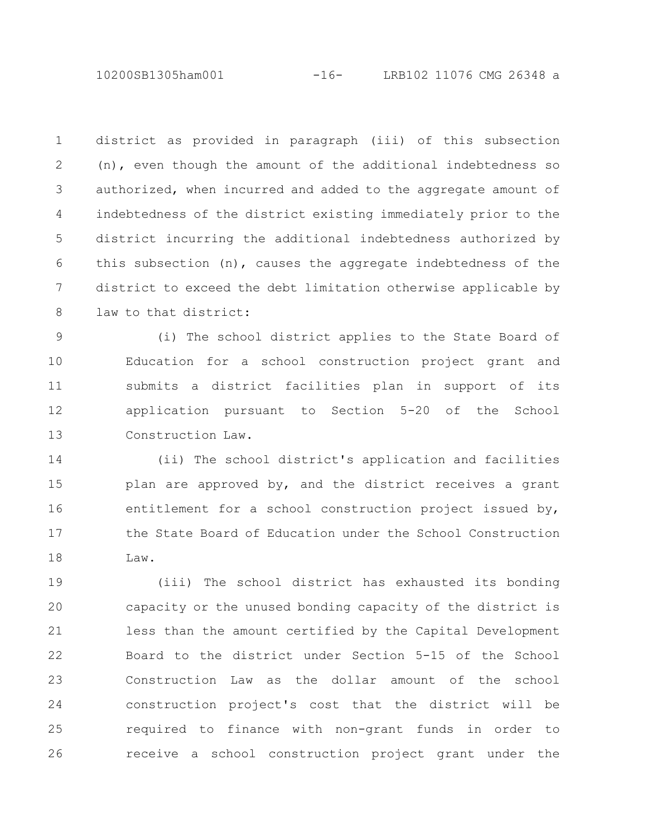10200SB1305ham001 -16- LRB102 11076 CMG 26348 a

district as provided in paragraph (iii) of this subsection (n), even though the amount of the additional indebtedness so authorized, when incurred and added to the aggregate amount of indebtedness of the district existing immediately prior to the district incurring the additional indebtedness authorized by this subsection (n), causes the aggregate indebtedness of the district to exceed the debt limitation otherwise applicable by law to that district: 1 2 3 4 5 6 7 8

(i) The school district applies to the State Board of Education for a school construction project grant and submits a district facilities plan in support of its application pursuant to Section 5-20 of the School Construction Law. 9 10 11 12 13

(ii) The school district's application and facilities plan are approved by, and the district receives a grant entitlement for a school construction project issued by, the State Board of Education under the School Construction Law. 14 15 16 17 18

(iii) The school district has exhausted its bonding capacity or the unused bonding capacity of the district is less than the amount certified by the Capital Development Board to the district under Section 5-15 of the School Construction Law as the dollar amount of the school construction project's cost that the district will be required to finance with non-grant funds in order to receive a school construction project grant under the 19 20 21 22 23 24 25 26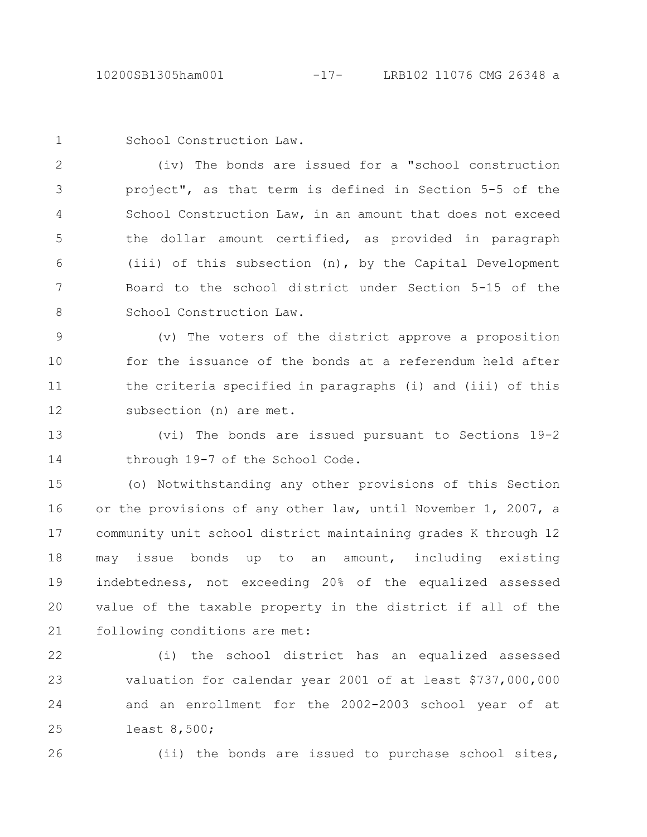1

School Construction Law.

(iv) The bonds are issued for a "school construction project", as that term is defined in Section 5-5 of the School Construction Law, in an amount that does not exceed the dollar amount certified, as provided in paragraph (iii) of this subsection (n), by the Capital Development Board to the school district under Section 5-15 of the School Construction Law. 2 3 4 5 6 7 8

(v) The voters of the district approve a proposition for the issuance of the bonds at a referendum held after the criteria specified in paragraphs (i) and (iii) of this subsection (n) are met. 9 10 11 12

(vi) The bonds are issued pursuant to Sections 19-2 through 19-7 of the School Code. 13 14

(o) Notwithstanding any other provisions of this Section or the provisions of any other law, until November 1, 2007, a community unit school district maintaining grades K through 12 may issue bonds up to an amount, including existing indebtedness, not exceeding 20% of the equalized assessed value of the taxable property in the district if all of the following conditions are met: 15 16 17 18 19 20 21

(i) the school district has an equalized assessed valuation for calendar year 2001 of at least \$737,000,000 and an enrollment for the 2002-2003 school year of at least 8,500; 22 23 24 25

26

(ii) the bonds are issued to purchase school sites,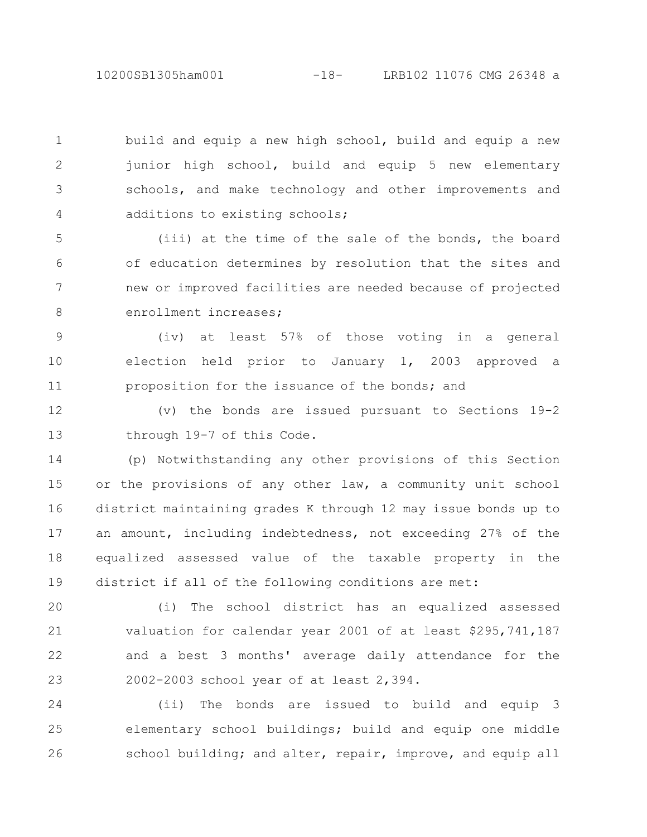10200SB1305ham001 -18- LRB102 11076 CMG 26348 a

build and equip a new high school, build and equip a new junior high school, build and equip 5 new elementary schools, and make technology and other improvements and additions to existing schools; 1 2 3 4

(iii) at the time of the sale of the bonds, the board of education determines by resolution that the sites and new or improved facilities are needed because of projected enrollment increases; 5 6 7 8

(iv) at least 57% of those voting in a general election held prior to January 1, 2003 approved a proposition for the issuance of the bonds; and 9 10 11

(v) the bonds are issued pursuant to Sections 19-2 through 19-7 of this Code. 12 13

(p) Notwithstanding any other provisions of this Section or the provisions of any other law, a community unit school district maintaining grades K through 12 may issue bonds up to an amount, including indebtedness, not exceeding 27% of the equalized assessed value of the taxable property in the district if all of the following conditions are met: 14 15 16 17 18 19

(i) The school district has an equalized assessed valuation for calendar year 2001 of at least \$295,741,187 and a best 3 months' average daily attendance for the 2002-2003 school year of at least 2,394. 20 21 22 23

(ii) The bonds are issued to build and equip 3 elementary school buildings; build and equip one middle school building; and alter, repair, improve, and equip all 24 25 26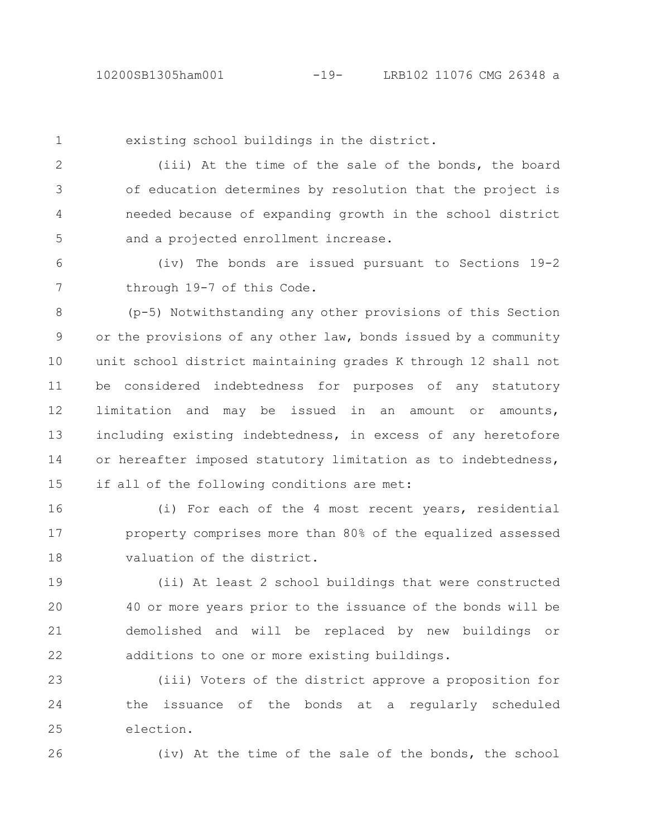1

existing school buildings in the district.

(iii) At the time of the sale of the bonds, the board of education determines by resolution that the project is needed because of expanding growth in the school district and a projected enrollment increase. 2 3 4 5

(iv) The bonds are issued pursuant to Sections 19-2 through 19-7 of this Code. 6 7

(p-5) Notwithstanding any other provisions of this Section or the provisions of any other law, bonds issued by a community unit school district maintaining grades K through 12 shall not be considered indebtedness for purposes of any statutory limitation and may be issued in an amount or amounts, including existing indebtedness, in excess of any heretofore or hereafter imposed statutory limitation as to indebtedness, if all of the following conditions are met: 8 9 10 11 12 13 14 15

(i) For each of the 4 most recent years, residential property comprises more than 80% of the equalized assessed valuation of the district. 16 17 18

(ii) At least 2 school buildings that were constructed 40 or more years prior to the issuance of the bonds will be demolished and will be replaced by new buildings or additions to one or more existing buildings. 19 20 21 22

(iii) Voters of the district approve a proposition for the issuance of the bonds at a regularly scheduled election. 23 24 25

26

(iv) At the time of the sale of the bonds, the school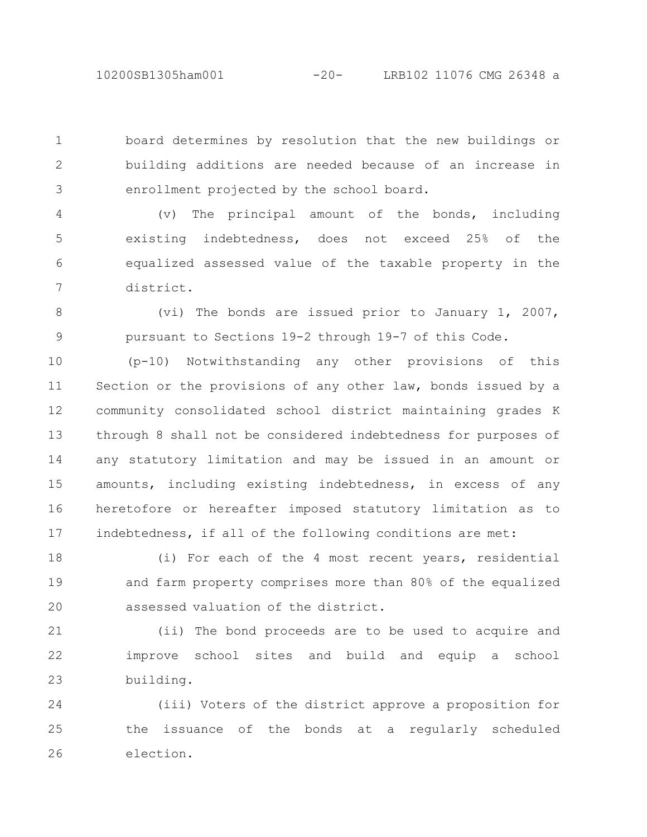board determines by resolution that the new buildings or building additions are needed because of an increase in enrollment projected by the school board. 1 2 3

(v) The principal amount of the bonds, including existing indebtedness, does not exceed 25% of the equalized assessed value of the taxable property in the district. 4 5 6 7

(vi) The bonds are issued prior to January 1, 2007, pursuant to Sections 19-2 through 19-7 of this Code. 8 9

(p-10) Notwithstanding any other provisions of this Section or the provisions of any other law, bonds issued by a community consolidated school district maintaining grades K through 8 shall not be considered indebtedness for purposes of any statutory limitation and may be issued in an amount or amounts, including existing indebtedness, in excess of any heretofore or hereafter imposed statutory limitation as to indebtedness, if all of the following conditions are met: 10 11 12 13 14 15 16 17

(i) For each of the 4 most recent years, residential and farm property comprises more than 80% of the equalized assessed valuation of the district. 18 19 20

(ii) The bond proceeds are to be used to acquire and improve school sites and build and equip a school building. 21 22 23

(iii) Voters of the district approve a proposition for the issuance of the bonds at a regularly scheduled election. 24 25 26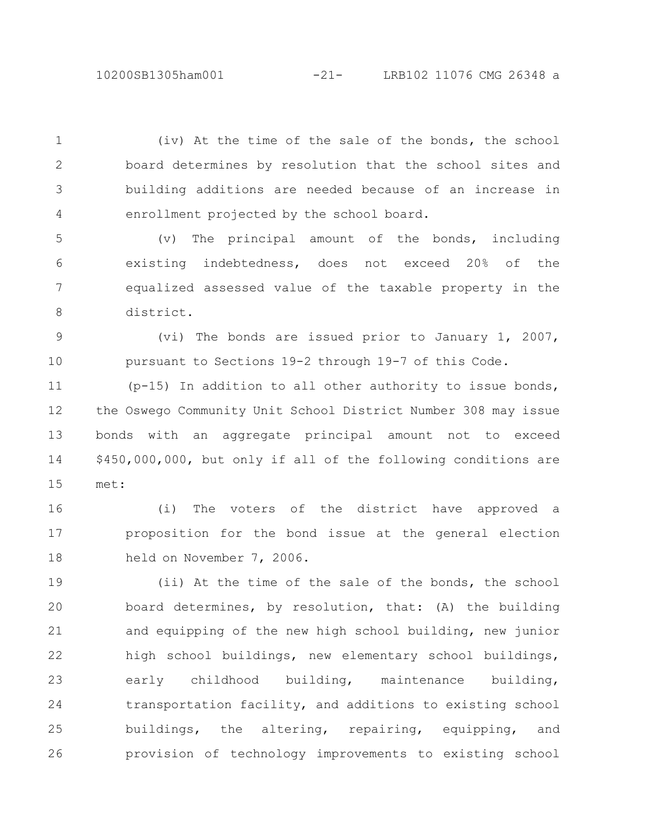(iv) At the time of the sale of the bonds, the school board determines by resolution that the school sites and building additions are needed because of an increase in enrollment projected by the school board. 1

2

3

4

(v) The principal amount of the bonds, including existing indebtedness, does not exceed 20% of the equalized assessed value of the taxable property in the district. 5 6 7 8

(vi) The bonds are issued prior to January 1, 2007, pursuant to Sections 19-2 through 19-7 of this Code. 9 10

(p-15) In addition to all other authority to issue bonds, the Oswego Community Unit School District Number 308 may issue bonds with an aggregate principal amount not to exceed \$450,000,000, but only if all of the following conditions are met: 11 12 13 14 15

(i) The voters of the district have approved a proposition for the bond issue at the general election held on November 7, 2006. 16 17 18

(ii) At the time of the sale of the bonds, the school board determines, by resolution, that: (A) the building and equipping of the new high school building, new junior high school buildings, new elementary school buildings, early childhood building, maintenance building, transportation facility, and additions to existing school buildings, the altering, repairing, equipping, and provision of technology improvements to existing school 19 20 21 22 23 24 25 26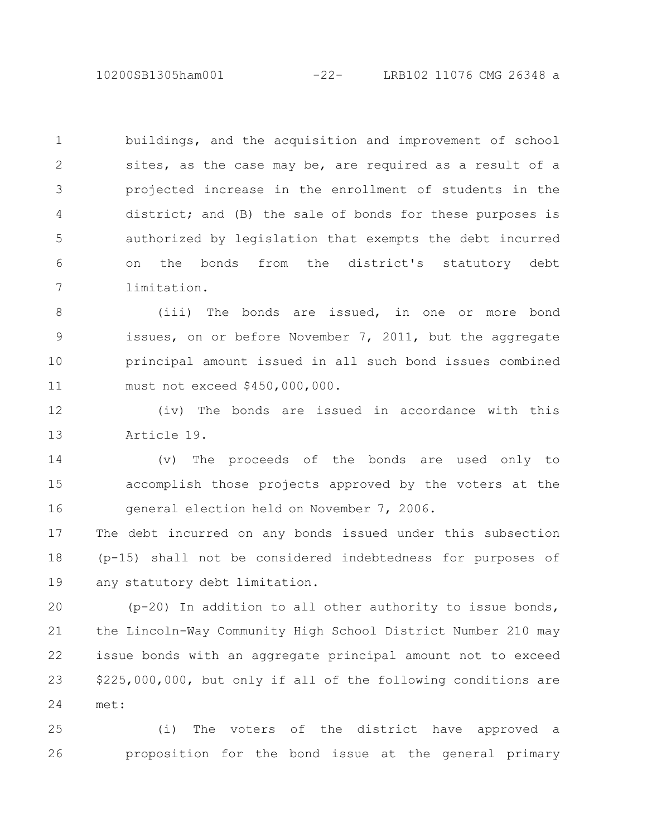10200SB1305ham001 -22- LRB102 11076 CMG 26348 a

buildings, and the acquisition and improvement of school sites, as the case may be, are required as a result of a projected increase in the enrollment of students in the district; and (B) the sale of bonds for these purposes is authorized by legislation that exempts the debt incurred on the bonds from the district's statutory debt limitation. 1 2 3 4 5 6 7

(iii) The bonds are issued, in one or more bond issues, on or before November 7, 2011, but the aggregate principal amount issued in all such bond issues combined must not exceed \$450,000,000. 8 9 10 11

(iv) The bonds are issued in accordance with this Article 19. 12 13

(v) The proceeds of the bonds are used only to accomplish those projects approved by the voters at the general election held on November 7, 2006. 14 15 16

The debt incurred on any bonds issued under this subsection (p-15) shall not be considered indebtedness for purposes of any statutory debt limitation. 17 18 19

(p-20) In addition to all other authority to issue bonds, the Lincoln-Way Community High School District Number 210 may issue bonds with an aggregate principal amount not to exceed \$225,000,000, but only if all of the following conditions are met: 20 21 22 23 24

(i) The voters of the district have approved a proposition for the bond issue at the general primary 25 26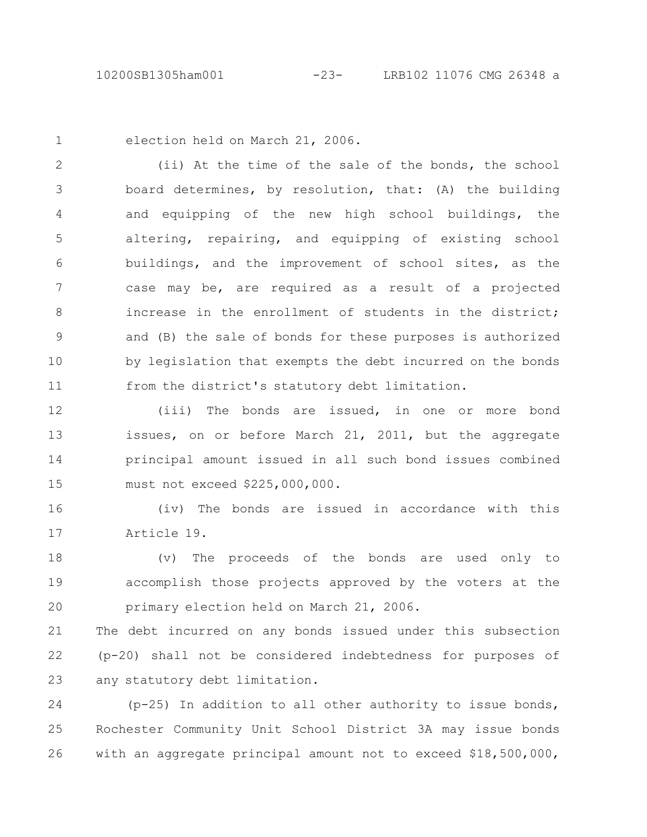1

election held on March 21, 2006.

(ii) At the time of the sale of the bonds, the school board determines, by resolution, that: (A) the building and equipping of the new high school buildings, the altering, repairing, and equipping of existing school buildings, and the improvement of school sites, as the case may be, are required as a result of a projected increase in the enrollment of students in the district; and (B) the sale of bonds for these purposes is authorized by legislation that exempts the debt incurred on the bonds from the district's statutory debt limitation. 2 3 4 5 6 7 8 9 10 11

(iii) The bonds are issued, in one or more bond issues, on or before March 21, 2011, but the aggregate principal amount issued in all such bond issues combined must not exceed \$225,000,000. 12 13 14 15

(iv) The bonds are issued in accordance with this Article 19. 16 17

(v) The proceeds of the bonds are used only to accomplish those projects approved by the voters at the primary election held on March 21, 2006. 18 19 20

The debt incurred on any bonds issued under this subsection (p-20) shall not be considered indebtedness for purposes of any statutory debt limitation. 21 22 23

(p-25) In addition to all other authority to issue bonds, Rochester Community Unit School District 3A may issue bonds with an aggregate principal amount not to exceed \$18,500,000, 24 25 26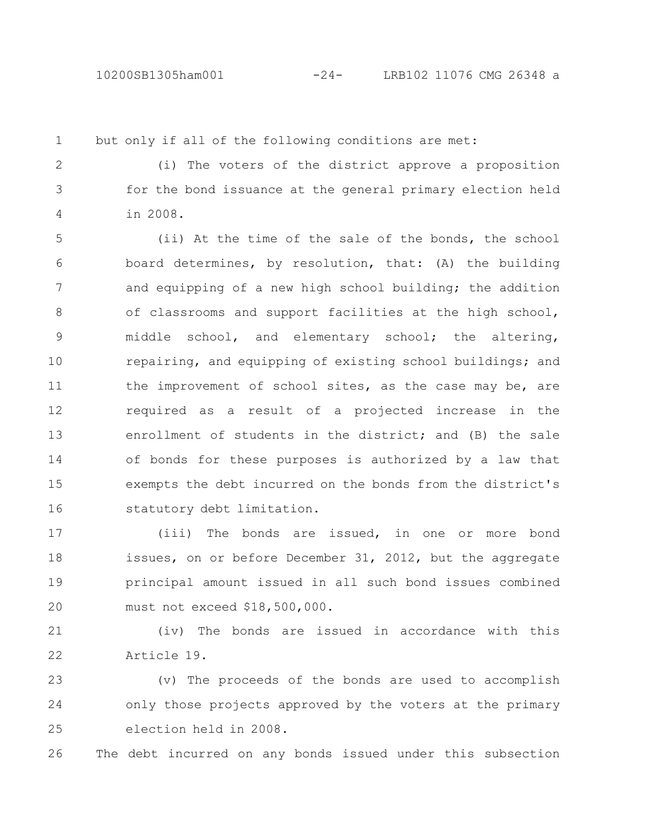1

but only if all of the following conditions are met:

(i) The voters of the district approve a proposition for the bond issuance at the general primary election held in 2008. 2 3 4

(ii) At the time of the sale of the bonds, the school board determines, by resolution, that: (A) the building and equipping of a new high school building; the addition of classrooms and support facilities at the high school, middle school, and elementary school; the altering, repairing, and equipping of existing school buildings; and the improvement of school sites, as the case may be, are required as a result of a projected increase in the enrollment of students in the district; and (B) the sale of bonds for these purposes is authorized by a law that exempts the debt incurred on the bonds from the district's statutory debt limitation. 5 6 7 8 9 10 11 12 13 14 15 16

(iii) The bonds are issued, in one or more bond issues, on or before December 31, 2012, but the aggregate principal amount issued in all such bond issues combined must not exceed \$18,500,000. 17 18 19 20

(iv) The bonds are issued in accordance with this Article 19. 21 22

(v) The proceeds of the bonds are used to accomplish only those projects approved by the voters at the primary election held in 2008. 23 24 25

The debt incurred on any bonds issued under this subsection 26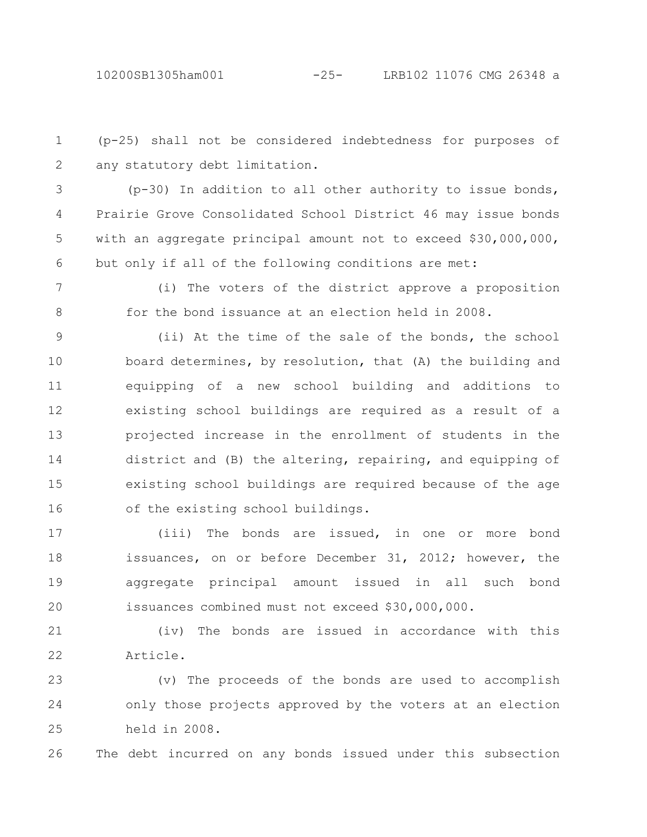(p-25) shall not be considered indebtedness for purposes of any statutory debt limitation. 1 2

(p-30) In addition to all other authority to issue bonds, Prairie Grove Consolidated School District 46 may issue bonds with an aggregate principal amount not to exceed \$30,000,000, but only if all of the following conditions are met: 3 4 5 6

7

8

(i) The voters of the district approve a proposition for the bond issuance at an election held in 2008.

(ii) At the time of the sale of the bonds, the school board determines, by resolution, that (A) the building and equipping of a new school building and additions to existing school buildings are required as a result of a projected increase in the enrollment of students in the district and (B) the altering, repairing, and equipping of existing school buildings are required because of the age of the existing school buildings. 9 10 11 12 13 14 15 16

(iii) The bonds are issued, in one or more bond issuances, on or before December 31, 2012; however, the aggregate principal amount issued in all such bond issuances combined must not exceed \$30,000,000. 17 18 19 20

(iv) The bonds are issued in accordance with this Article. 21 22

(v) The proceeds of the bonds are used to accomplish only those projects approved by the voters at an election held in 2008. 23 24 25

The debt incurred on any bonds issued under this subsection 26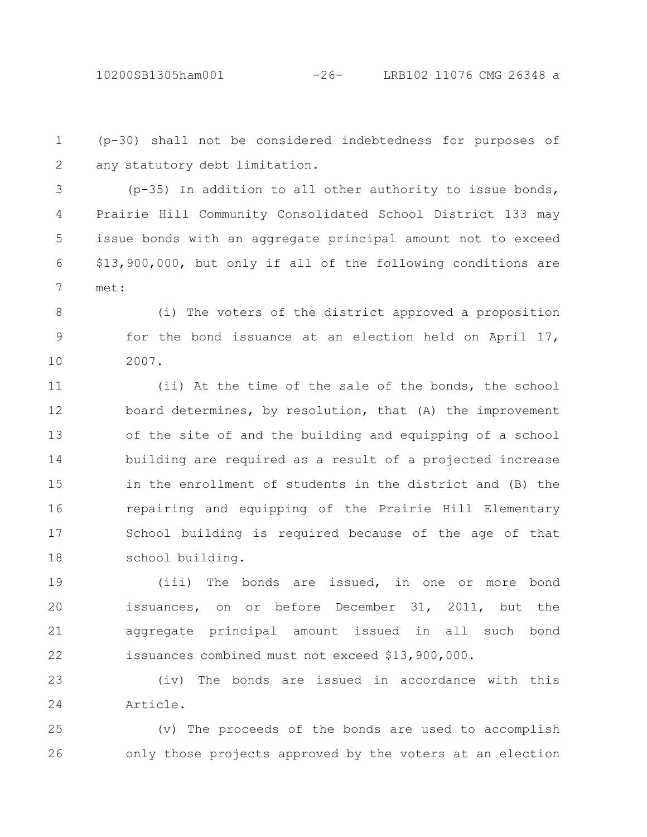(p-30) shall not be considered indebtedness for purposes of any statutory debt limitation. 1 2

(p-35) In addition to all other authority to issue bonds, Prairie Hill Community Consolidated School District 133 may issue bonds with an aggregate principal amount not to exceed \$13,900,000, but only if all of the following conditions are met: 3 4 5 6 7

(i) The voters of the district approved a proposition for the bond issuance at an election held on April 17, 2007. 8 9 10

(ii) At the time of the sale of the bonds, the school board determines, by resolution, that (A) the improvement of the site of and the building and equipping of a school building are required as a result of a projected increase in the enrollment of students in the district and (B) the repairing and equipping of the Prairie Hill Elementary School building is required because of the age of that school building. 11 12 13 14 15 16 17 18

(iii) The bonds are issued, in one or more bond issuances, on or before December 31, 2011, but the aggregate principal amount issued in all such bond issuances combined must not exceed \$13,900,000. 19 20 21 22

(iv) The bonds are issued in accordance with this Article. 23 24

(v) The proceeds of the bonds are used to accomplish only those projects approved by the voters at an election 25 26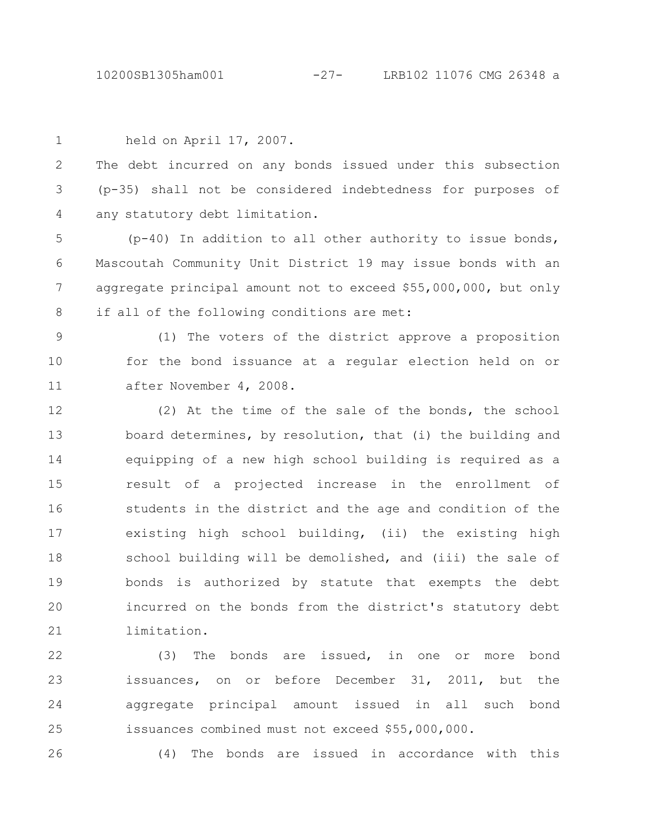held on April 17, 2007. The debt incurred on any bonds issued under this subsection (p-35) shall not be considered indebtedness for purposes of any statutory debt limitation. (p-40) In addition to all other authority to issue bonds, Mascoutah Community Unit District 19 may issue bonds with an aggregate principal amount not to exceed \$55,000,000, but only if all of the following conditions are met: (1) The voters of the district approve a proposition for the bond issuance at a regular election held on or after November 4, 2008. (2) At the time of the sale of the bonds, the school board determines, by resolution, that (i) the building and equipping of a new high school building is required as a result of a projected increase in the enrollment of students in the district and the age and condition of the existing high school building, (ii) the existing high school building will be demolished, and (iii) the sale of bonds is authorized by statute that exempts the debt incurred on the bonds from the district's statutory debt limitation. (3) The bonds are issued, in one or more bond issuances, on or before December 31, 2011, but the 1 2 3 4 5 6 7 8 9 10 11 12 13 14 15 16 17 18 19 20 21 22 23

aggregate principal amount issued in all such bond issuances combined must not exceed \$55,000,000. 24 25

26

(4) The bonds are issued in accordance with this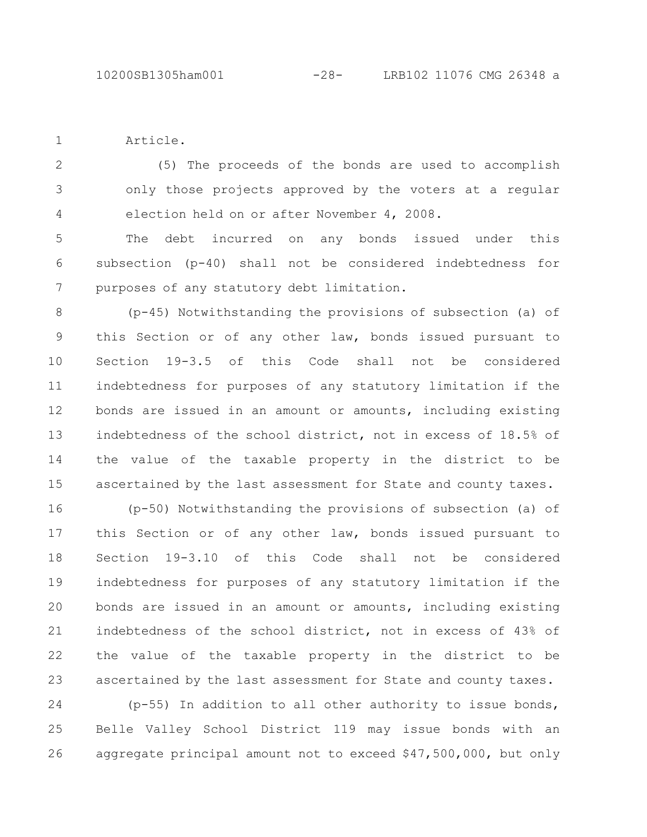Article. 1

(5) The proceeds of the bonds are used to accomplish only those projects approved by the voters at a regular election held on or after November 4, 2008. 2 3 4

The debt incurred on any bonds issued under this subsection (p-40) shall not be considered indebtedness for purposes of any statutory debt limitation. 5 6 7

(p-45) Notwithstanding the provisions of subsection (a) of this Section or of any other law, bonds issued pursuant to Section 19-3.5 of this Code shall not be considered indebtedness for purposes of any statutory limitation if the bonds are issued in an amount or amounts, including existing indebtedness of the school district, not in excess of 18.5% of the value of the taxable property in the district to be ascertained by the last assessment for State and county taxes. 8 9 10 11 12 13 14 15

(p-50) Notwithstanding the provisions of subsection (a) of this Section or of any other law, bonds issued pursuant to Section 19-3.10 of this Code shall not be considered indebtedness for purposes of any statutory limitation if the bonds are issued in an amount or amounts, including existing indebtedness of the school district, not in excess of 43% of the value of the taxable property in the district to be ascertained by the last assessment for State and county taxes. 16 17 18 19 20 21 22 23

(p-55) In addition to all other authority to issue bonds, Belle Valley School District 119 may issue bonds with an aggregate principal amount not to exceed \$47,500,000, but only 24 25 26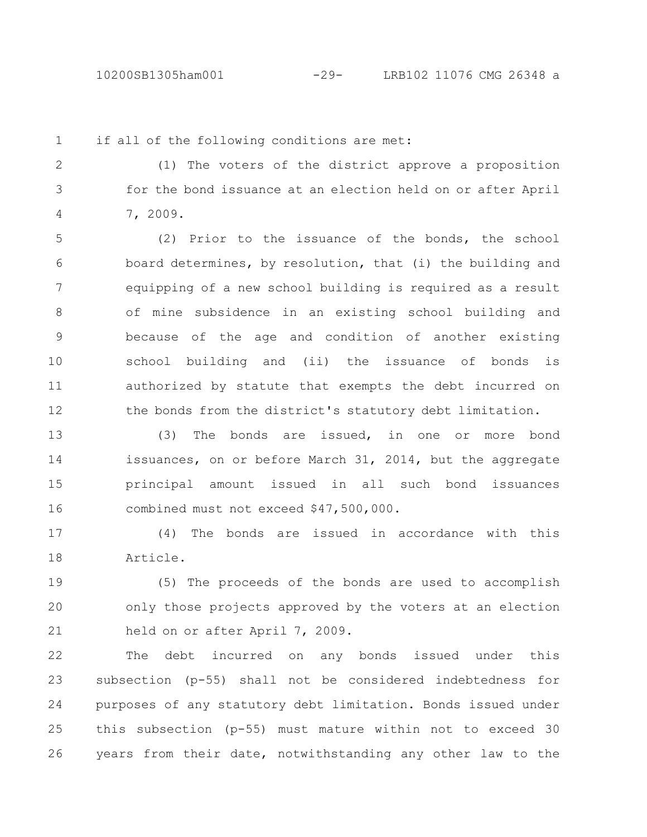1

if all of the following conditions are met:

(1) The voters of the district approve a proposition for the bond issuance at an election held on or after April 7, 2009. 2 3 4

(2) Prior to the issuance of the bonds, the school board determines, by resolution, that (i) the building and equipping of a new school building is required as a result of mine subsidence in an existing school building and because of the age and condition of another existing school building and (ii) the issuance of bonds is authorized by statute that exempts the debt incurred on the bonds from the district's statutory debt limitation. 5 6 7 8 9 10 11 12

(3) The bonds are issued, in one or more bond issuances, on or before March 31, 2014, but the aggregate principal amount issued in all such bond issuances combined must not exceed \$47,500,000. 13 14 15 16

(4) The bonds are issued in accordance with this Article. 17 18

(5) The proceeds of the bonds are used to accomplish only those projects approved by the voters at an election held on or after April 7, 2009. 19 20 21

The debt incurred on any bonds issued under this subsection (p-55) shall not be considered indebtedness for purposes of any statutory debt limitation. Bonds issued under this subsection (p-55) must mature within not to exceed 30 years from their date, notwithstanding any other law to the 22 23 24 25 26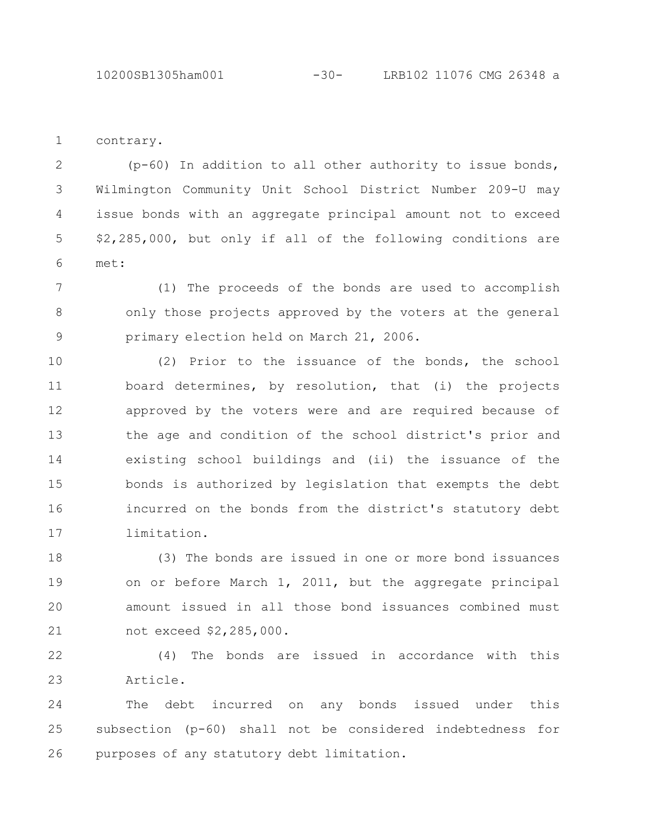contrary. 1

(p-60) In addition to all other authority to issue bonds, Wilmington Community Unit School District Number 209-U may issue bonds with an aggregate principal amount not to exceed \$2,285,000, but only if all of the following conditions are met: 2 3 4 5 6

(1) The proceeds of the bonds are used to accomplish only those projects approved by the voters at the general primary election held on March 21, 2006. 7 8 9

(2) Prior to the issuance of the bonds, the school board determines, by resolution, that (i) the projects approved by the voters were and are required because of the age and condition of the school district's prior and existing school buildings and (ii) the issuance of the bonds is authorized by legislation that exempts the debt incurred on the bonds from the district's statutory debt limitation. 10 11 12 13 14 15 16 17

(3) The bonds are issued in one or more bond issuances on or before March 1, 2011, but the aggregate principal amount issued in all those bond issuances combined must not exceed \$2,285,000. 18 19 20 21

(4) The bonds are issued in accordance with this Article. 22 23

The debt incurred on any bonds issued under this subsection (p-60) shall not be considered indebtedness for purposes of any statutory debt limitation. 24 25 26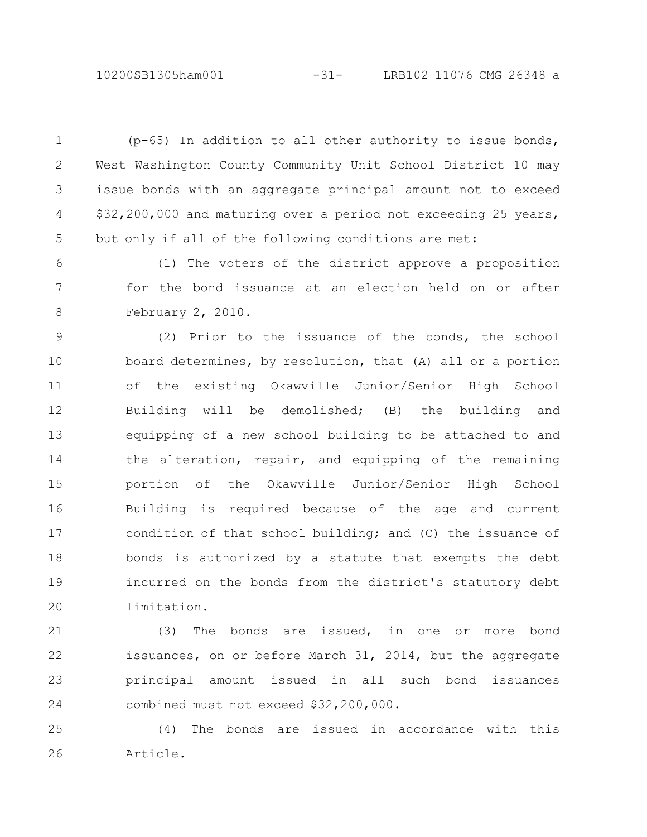10200SB1305ham001 -31- LRB102 11076 CMG 26348 a

(p-65) In addition to all other authority to issue bonds, West Washington County Community Unit School District 10 may issue bonds with an aggregate principal amount not to exceed \$32,200,000 and maturing over a period not exceeding 25 years, but only if all of the following conditions are met: 1 2 3 4 5

(1) The voters of the district approve a proposition for the bond issuance at an election held on or after February 2, 2010. 6 7 8

(2) Prior to the issuance of the bonds, the school board determines, by resolution, that (A) all or a portion of the existing Okawville Junior/Senior High School Building will be demolished; (B) the building and equipping of a new school building to be attached to and the alteration, repair, and equipping of the remaining portion of the Okawville Junior/Senior High School Building is required because of the age and current condition of that school building; and (C) the issuance of bonds is authorized by a statute that exempts the debt incurred on the bonds from the district's statutory debt limitation. 9 10 11 12 13 14 15 16 17 18 19 20

(3) The bonds are issued, in one or more bond issuances, on or before March 31, 2014, but the aggregate principal amount issued in all such bond issuances combined must not exceed \$32,200,000. 21 22 23 24

(4) The bonds are issued in accordance with this Article. 25 26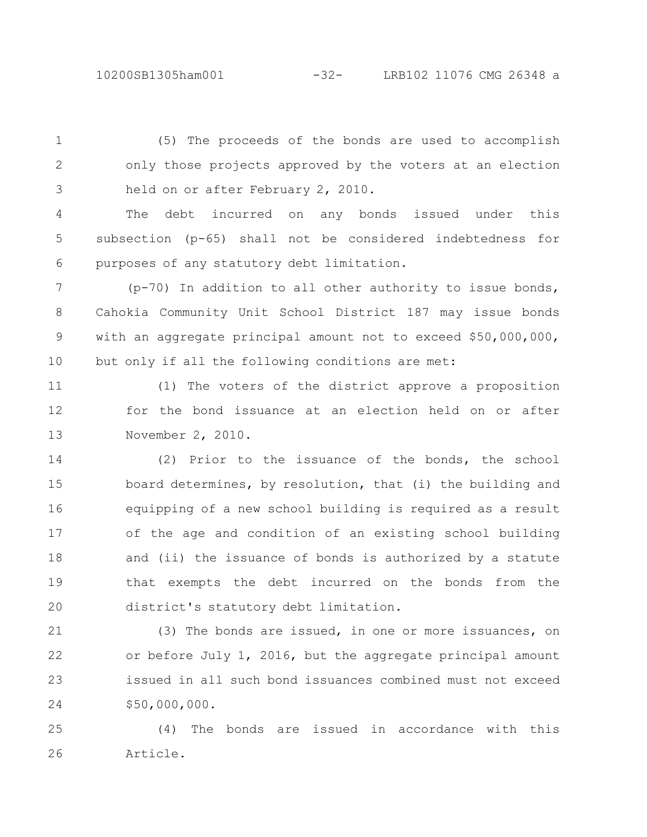10200SB1305ham001 -32- LRB102 11076 CMG 26348 a

(5) The proceeds of the bonds are used to accomplish only those projects approved by the voters at an election held on or after February 2, 2010. 1 2 3

The debt incurred on any bonds issued under this subsection (p-65) shall not be considered indebtedness for purposes of any statutory debt limitation. 4 5 6

(p-70) In addition to all other authority to issue bonds, Cahokia Community Unit School District 187 may issue bonds with an aggregate principal amount not to exceed \$50,000,000, but only if all the following conditions are met: 7 8 9 10

(1) The voters of the district approve a proposition for the bond issuance at an election held on or after November 2, 2010. 11 12 13

(2) Prior to the issuance of the bonds, the school board determines, by resolution, that (i) the building and equipping of a new school building is required as a result of the age and condition of an existing school building and (ii) the issuance of bonds is authorized by a statute that exempts the debt incurred on the bonds from the district's statutory debt limitation. 14 15 16 17 18 19 20

(3) The bonds are issued, in one or more issuances, on or before July 1, 2016, but the aggregate principal amount issued in all such bond issuances combined must not exceed \$50,000,000. 21 22 23 24

(4) The bonds are issued in accordance with this Article. 25 26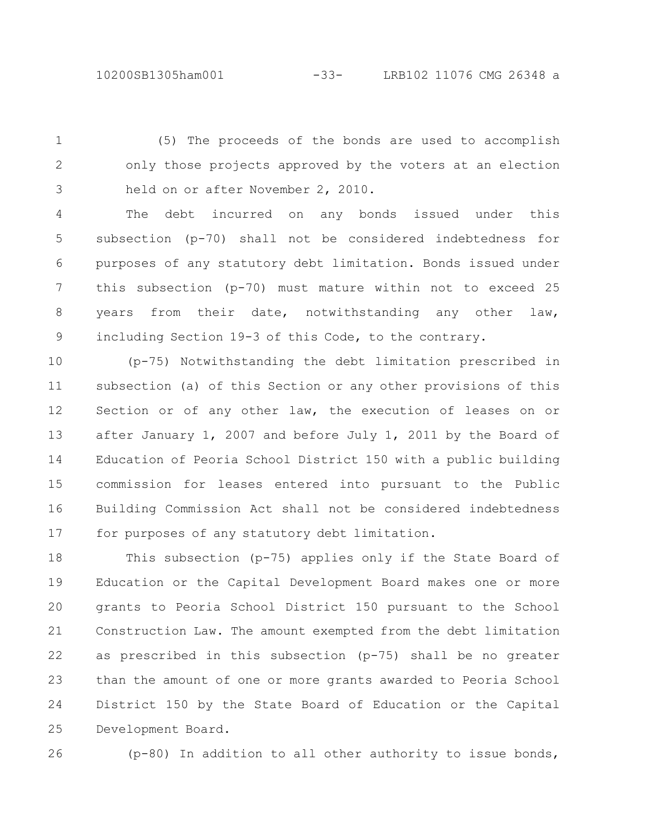(5) The proceeds of the bonds are used to accomplish only those projects approved by the voters at an election held on or after November 2, 2010. 1 2 3

The debt incurred on any bonds issued under this subsection (p-70) shall not be considered indebtedness for purposes of any statutory debt limitation. Bonds issued under this subsection (p-70) must mature within not to exceed 25 years from their date, notwithstanding any other law, including Section 19-3 of this Code, to the contrary. 4 5 6 7 8 9

(p-75) Notwithstanding the debt limitation prescribed in subsection (a) of this Section or any other provisions of this Section or of any other law, the execution of leases on or after January 1, 2007 and before July 1, 2011 by the Board of Education of Peoria School District 150 with a public building commission for leases entered into pursuant to the Public Building Commission Act shall not be considered indebtedness for purposes of any statutory debt limitation. 10 11 12 13 14 15 16 17

This subsection (p-75) applies only if the State Board of Education or the Capital Development Board makes one or more grants to Peoria School District 150 pursuant to the School Construction Law. The amount exempted from the debt limitation as prescribed in this subsection (p-75) shall be no greater than the amount of one or more grants awarded to Peoria School District 150 by the State Board of Education or the Capital Development Board. 18 19 20 21 22 23 24 25

26

(p-80) In addition to all other authority to issue bonds,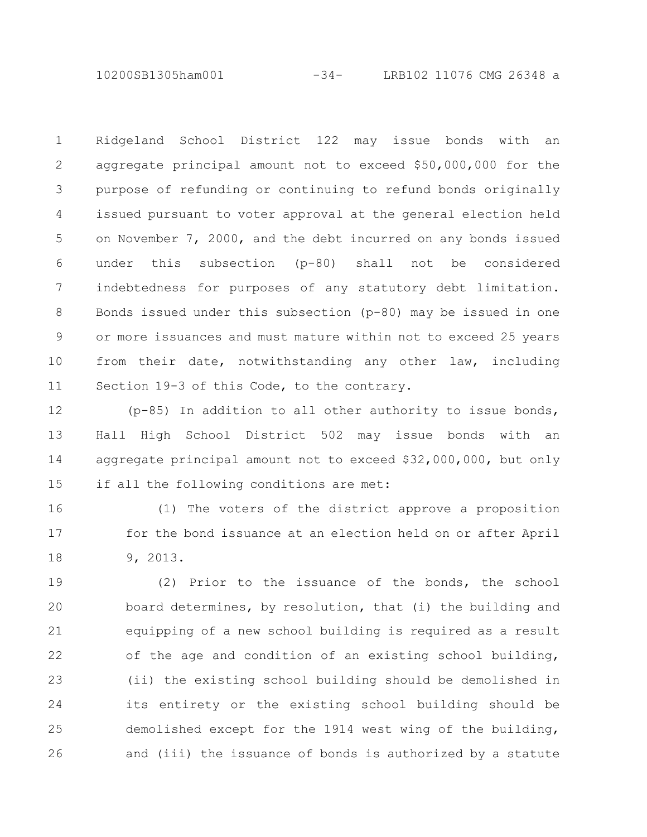10200SB1305ham001 -34- LRB102 11076 CMG 26348 a

Ridgeland School District 122 may issue bonds with an aggregate principal amount not to exceed \$50,000,000 for the purpose of refunding or continuing to refund bonds originally issued pursuant to voter approval at the general election held on November 7, 2000, and the debt incurred on any bonds issued under this subsection (p-80) shall not be considered indebtedness for purposes of any statutory debt limitation. Bonds issued under this subsection (p-80) may be issued in one or more issuances and must mature within not to exceed 25 years from their date, notwithstanding any other law, including Section 19-3 of this Code, to the contrary. 1 2 3 4 5 6 7 8 9 10 11

(p-85) In addition to all other authority to issue bonds, Hall High School District 502 may issue bonds with an aggregate principal amount not to exceed \$32,000,000, but only if all the following conditions are met: 12 13 14 15

(1) The voters of the district approve a proposition for the bond issuance at an election held on or after April 9, 2013. 16 17 18

(2) Prior to the issuance of the bonds, the school board determines, by resolution, that (i) the building and equipping of a new school building is required as a result of the age and condition of an existing school building, (ii) the existing school building should be demolished in its entirety or the existing school building should be demolished except for the 1914 west wing of the building, and (iii) the issuance of bonds is authorized by a statute 19 20 21 22 23 24 25 26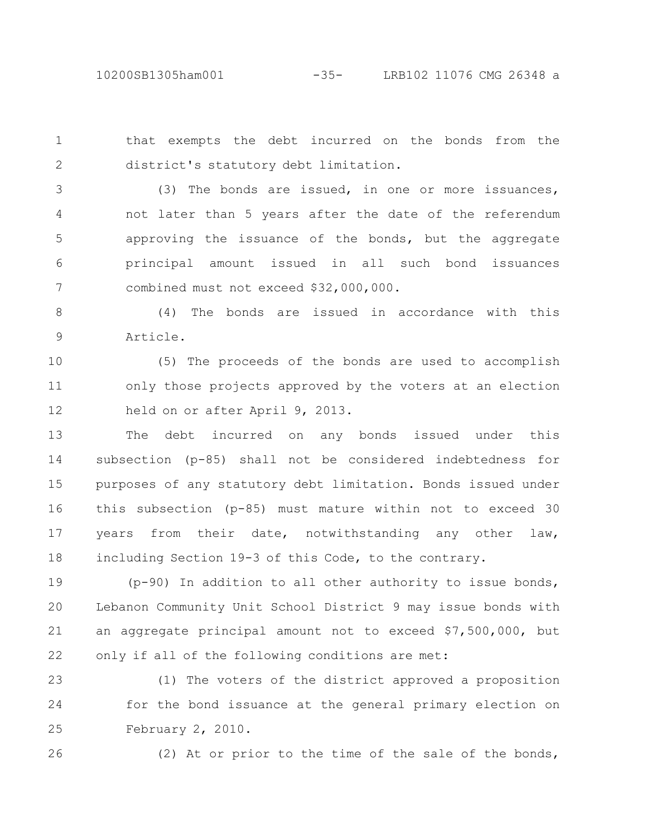that exempts the debt incurred on the bonds from the district's statutory debt limitation. 1 2

(3) The bonds are issued, in one or more issuances, not later than 5 years after the date of the referendum approving the issuance of the bonds, but the aggregate principal amount issued in all such bond issuances combined must not exceed \$32,000,000. 3 4 5 6 7

(4) The bonds are issued in accordance with this Article. 8 9

(5) The proceeds of the bonds are used to accomplish only those projects approved by the voters at an election held on or after April 9, 2013. 10 11 12

The debt incurred on any bonds issued under this subsection (p-85) shall not be considered indebtedness for purposes of any statutory debt limitation. Bonds issued under this subsection (p-85) must mature within not to exceed 30 years from their date, notwithstanding any other law, including Section 19-3 of this Code, to the contrary. 13 14 15 16 17 18

(p-90) In addition to all other authority to issue bonds, Lebanon Community Unit School District 9 may issue bonds with an aggregate principal amount not to exceed \$7,500,000, but only if all of the following conditions are met: 19 20 21 22

(1) The voters of the district approved a proposition for the bond issuance at the general primary election on February 2, 2010. 23 24 25

(2) At or prior to the time of the sale of the bonds,

26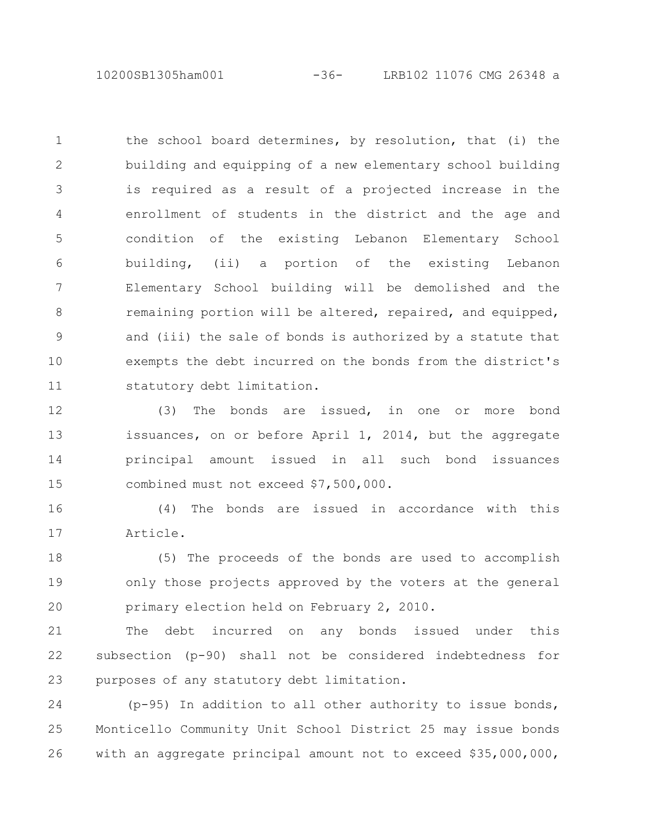10200SB1305ham001 -36- LRB102 11076 CMG 26348 a

the school board determines, by resolution, that (i) the building and equipping of a new elementary school building is required as a result of a projected increase in the enrollment of students in the district and the age and condition of the existing Lebanon Elementary School building, (ii) a portion of the existing Lebanon Elementary School building will be demolished and the remaining portion will be altered, repaired, and equipped, and (iii) the sale of bonds is authorized by a statute that exempts the debt incurred on the bonds from the district's statutory debt limitation. 1 2 3 4 5 6 7 8 9 10 11

(3) The bonds are issued, in one or more bond issuances, on or before April 1, 2014, but the aggregate principal amount issued in all such bond issuances combined must not exceed \$7,500,000. 12 13 14 15

(4) The bonds are issued in accordance with this Article. 16 17

(5) The proceeds of the bonds are used to accomplish only those projects approved by the voters at the general primary election held on February 2, 2010. 18 19 20

The debt incurred on any bonds issued under this subsection (p-90) shall not be considered indebtedness for purposes of any statutory debt limitation. 21 22 23

(p-95) In addition to all other authority to issue bonds, Monticello Community Unit School District 25 may issue bonds with an aggregate principal amount not to exceed \$35,000,000, 24 25 26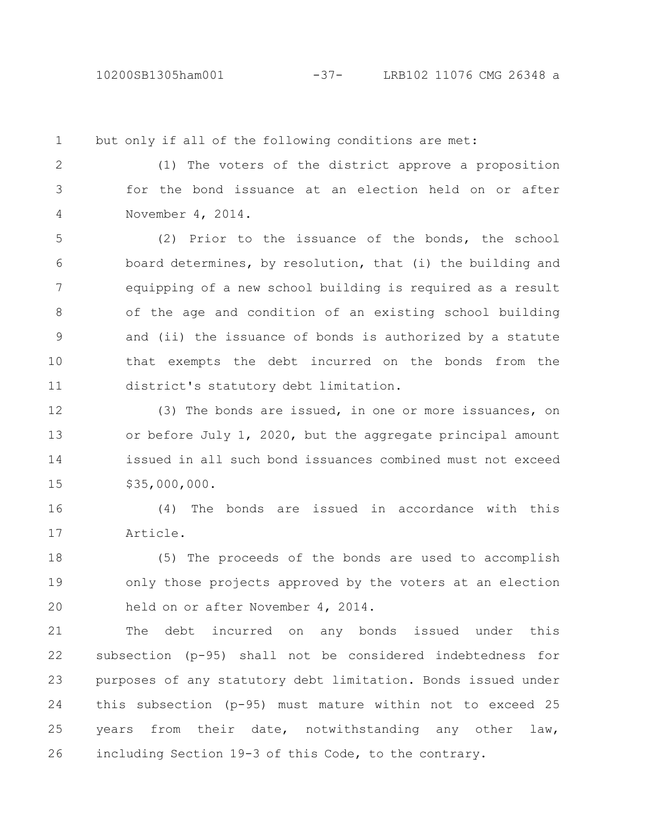1

but only if all of the following conditions are met:

(1) The voters of the district approve a proposition for the bond issuance at an election held on or after November 4, 2014. 2 3 4

(2) Prior to the issuance of the bonds, the school board determines, by resolution, that (i) the building and equipping of a new school building is required as a result of the age and condition of an existing school building and (ii) the issuance of bonds is authorized by a statute that exempts the debt incurred on the bonds from the district's statutory debt limitation. 5 6 7 8 9 10 11

(3) The bonds are issued, in one or more issuances, on or before July 1, 2020, but the aggregate principal amount issued in all such bond issuances combined must not exceed \$35,000,000. 12 13 14 15

(4) The bonds are issued in accordance with this Article. 16 17

(5) The proceeds of the bonds are used to accomplish only those projects approved by the voters at an election held on or after November 4, 2014. 18 19 20

The debt incurred on any bonds issued under this subsection (p-95) shall not be considered indebtedness for purposes of any statutory debt limitation. Bonds issued under this subsection (p-95) must mature within not to exceed 25 years from their date, notwithstanding any other law, including Section 19-3 of this Code, to the contrary. 21 22 23 24 25 26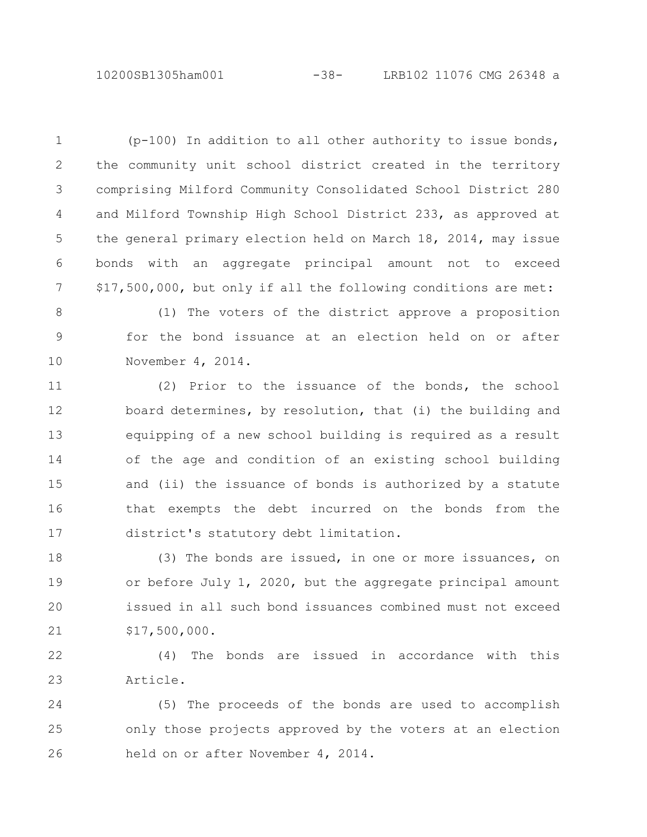10200SB1305ham001 -38- LRB102 11076 CMG 26348 a

(p-100) In addition to all other authority to issue bonds, the community unit school district created in the territory comprising Milford Community Consolidated School District 280 and Milford Township High School District 233, as approved at the general primary election held on March 18, 2014, may issue bonds with an aggregate principal amount not to exceed \$17,500,000, but only if all the following conditions are met: 1 2 3 4 5 6 7

(1) The voters of the district approve a proposition for the bond issuance at an election held on or after November 4, 2014. 8 9 10

(2) Prior to the issuance of the bonds, the school board determines, by resolution, that (i) the building and equipping of a new school building is required as a result of the age and condition of an existing school building and (ii) the issuance of bonds is authorized by a statute that exempts the debt incurred on the bonds from the district's statutory debt limitation. 11 12 13 14 15 16 17

(3) The bonds are issued, in one or more issuances, on or before July 1, 2020, but the aggregate principal amount issued in all such bond issuances combined must not exceed \$17,500,000. 18 19 20 21

(4) The bonds are issued in accordance with this Article. 22 23

(5) The proceeds of the bonds are used to accomplish only those projects approved by the voters at an election held on or after November 4, 2014. 24 25 26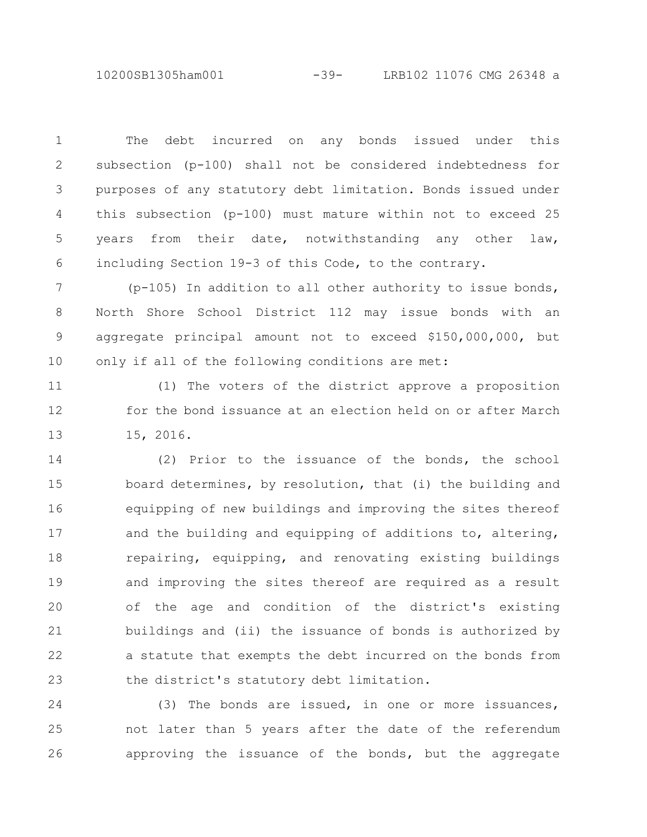10200SB1305ham001 -39- LRB102 11076 CMG 26348 a

The debt incurred on any bonds issued under this subsection (p-100) shall not be considered indebtedness for purposes of any statutory debt limitation. Bonds issued under this subsection (p-100) must mature within not to exceed 25 years from their date, notwithstanding any other law, including Section 19-3 of this Code, to the contrary. 1 2 3 4 5 6

(p-105) In addition to all other authority to issue bonds, North Shore School District 112 may issue bonds with an aggregate principal amount not to exceed \$150,000,000, but only if all of the following conditions are met: 7 8 9 10

(1) The voters of the district approve a proposition for the bond issuance at an election held on or after March 15, 2016. 11 12 13

(2) Prior to the issuance of the bonds, the school board determines, by resolution, that (i) the building and equipping of new buildings and improving the sites thereof and the building and equipping of additions to, altering, repairing, equipping, and renovating existing buildings and improving the sites thereof are required as a result of the age and condition of the district's existing buildings and (ii) the issuance of bonds is authorized by a statute that exempts the debt incurred on the bonds from the district's statutory debt limitation. 14 15 16 17 18 19 20 21 22 23

(3) The bonds are issued, in one or more issuances, not later than 5 years after the date of the referendum approving the issuance of the bonds, but the aggregate 24 25 26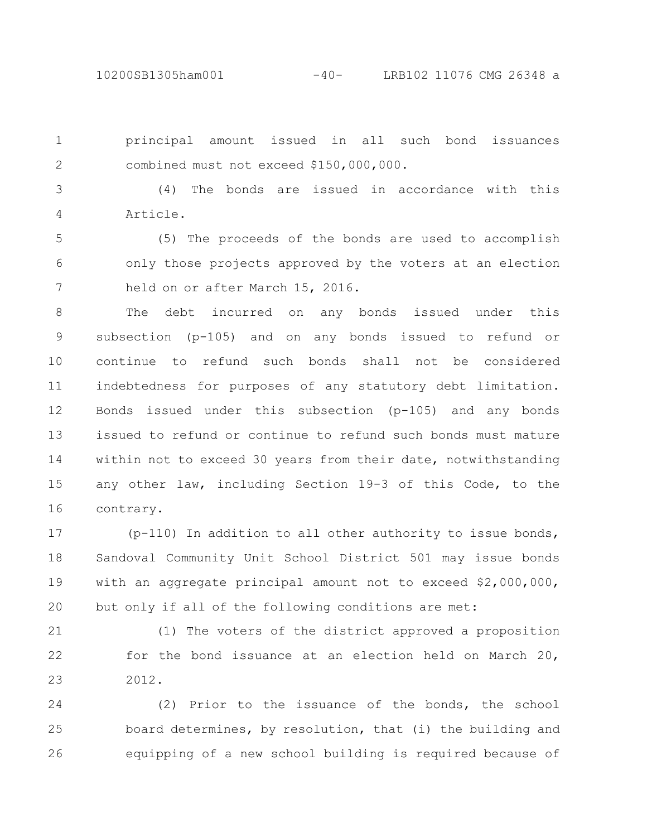10200SB1305ham001 -40- LRB102 11076 CMG 26348 a

principal amount issued in all such bond issuances combined must not exceed \$150,000,000. 1 2

(4) The bonds are issued in accordance with this Article. 3 4

(5) The proceeds of the bonds are used to accomplish only those projects approved by the voters at an election held on or after March 15, 2016. 5 6 7

The debt incurred on any bonds issued under this subsection (p-105) and on any bonds issued to refund or continue to refund such bonds shall not be considered indebtedness for purposes of any statutory debt limitation. Bonds issued under this subsection (p-105) and any bonds issued to refund or continue to refund such bonds must mature within not to exceed 30 years from their date, notwithstanding any other law, including Section 19-3 of this Code, to the contrary. 8 9 10 11 12 13 14 15 16

(p-110) In addition to all other authority to issue bonds, Sandoval Community Unit School District 501 may issue bonds with an aggregate principal amount not to exceed \$2,000,000, but only if all of the following conditions are met: 17 18 19 20

(1) The voters of the district approved a proposition for the bond issuance at an election held on March 20, 2012. 21 22 23

(2) Prior to the issuance of the bonds, the school board determines, by resolution, that (i) the building and equipping of a new school building is required because of 24 25 26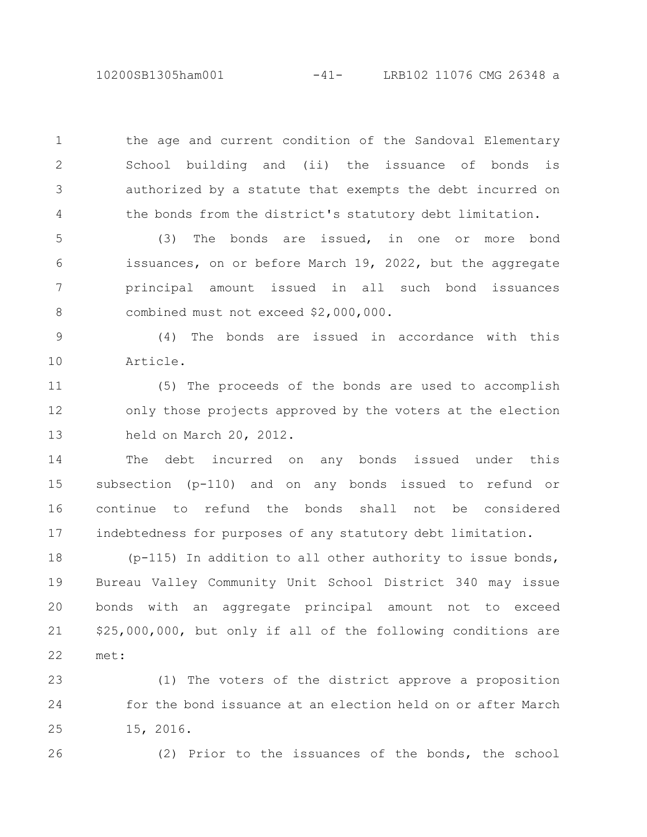10200SB1305ham001 -41- LRB102 11076 CMG 26348 a

the age and current condition of the Sandoval Elementary School building and (ii) the issuance of bonds is authorized by a statute that exempts the debt incurred on the bonds from the district's statutory debt limitation. 1 2 3 4

(3) The bonds are issued, in one or more bond issuances, on or before March 19, 2022, but the aggregate principal amount issued in all such bond issuances combined must not exceed \$2,000,000. 5 6 7 8

(4) The bonds are issued in accordance with this Article. 9 10

(5) The proceeds of the bonds are used to accomplish only those projects approved by the voters at the election held on March 20, 2012. 11 12 13

The debt incurred on any bonds issued under this subsection (p-110) and on any bonds issued to refund or continue to refund the bonds shall not be considered indebtedness for purposes of any statutory debt limitation. 14 15 16 17

(p-115) In addition to all other authority to issue bonds, Bureau Valley Community Unit School District 340 may issue bonds with an aggregate principal amount not to exceed \$25,000,000, but only if all of the following conditions are met: 18 19 20 21 22

(1) The voters of the district approve a proposition for the bond issuance at an election held on or after March 15, 2016. 23 24 25

26

(2) Prior to the issuances of the bonds, the school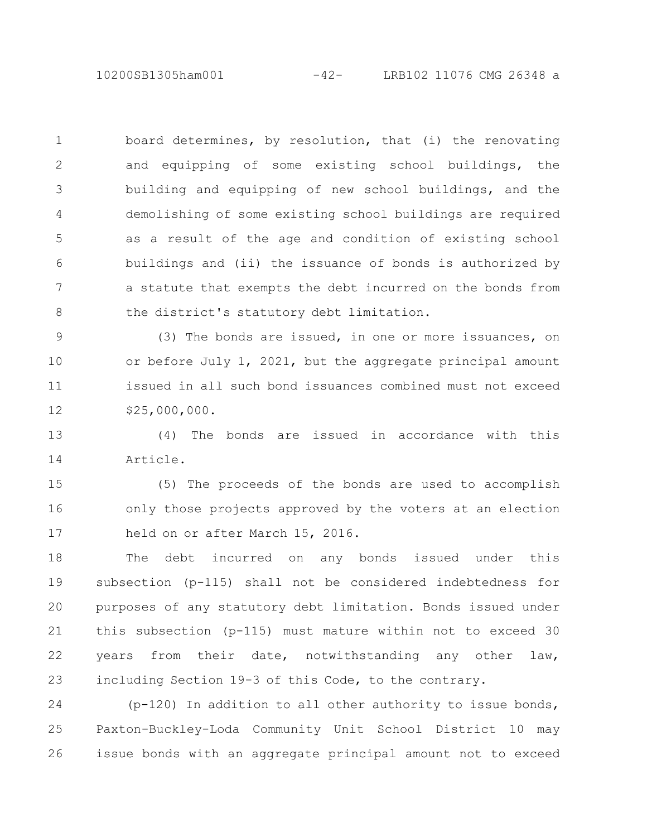10200SB1305ham001 -42- LRB102 11076 CMG 26348 a

board determines, by resolution, that (i) the renovating and equipping of some existing school buildings, the building and equipping of new school buildings, and the demolishing of some existing school buildings are required as a result of the age and condition of existing school buildings and (ii) the issuance of bonds is authorized by a statute that exempts the debt incurred on the bonds from the district's statutory debt limitation. 1 2 3 4 5 6 7 8

(3) The bonds are issued, in one or more issuances, on or before July 1, 2021, but the aggregate principal amount issued in all such bond issuances combined must not exceed \$25,000,000. 9 10 11 12

(4) The bonds are issued in accordance with this Article. 13 14

(5) The proceeds of the bonds are used to accomplish only those projects approved by the voters at an election held on or after March 15, 2016. 15 16 17

The debt incurred on any bonds issued under this subsection (p-115) shall not be considered indebtedness for purposes of any statutory debt limitation. Bonds issued under this subsection (p-115) must mature within not to exceed 30 years from their date, notwithstanding any other law, including Section 19-3 of this Code, to the contrary. 18 19 20 21 22 23

(p-120) In addition to all other authority to issue bonds, Paxton-Buckley-Loda Community Unit School District 10 may issue bonds with an aggregate principal amount not to exceed 24 25 26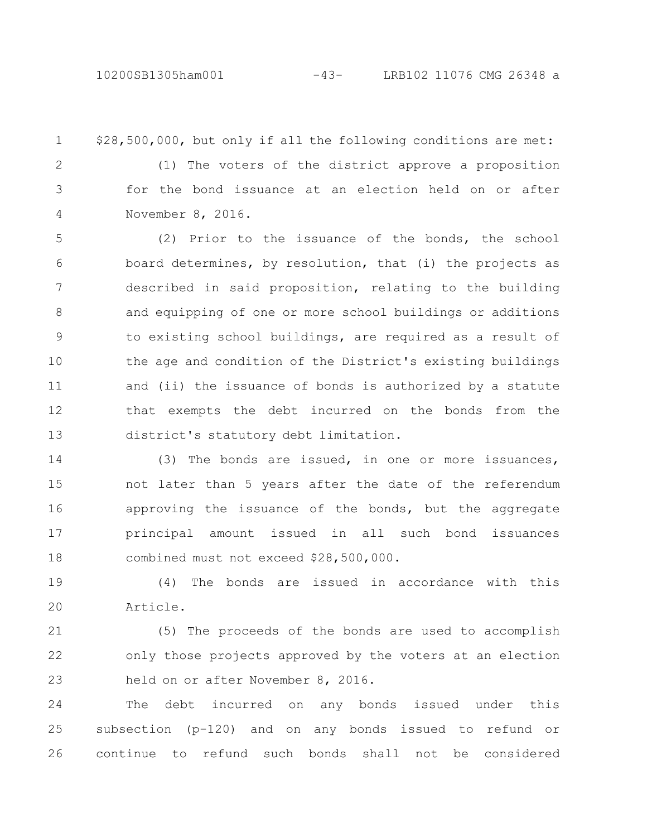## 10200SB1305ham001 -43- LRB102 11076 CMG 26348 a

1

\$28,500,000, but only if all the following conditions are met:

2

3

4

(1) The voters of the district approve a proposition for the bond issuance at an election held on or after November 8, 2016.

(2) Prior to the issuance of the bonds, the school board determines, by resolution, that (i) the projects as described in said proposition, relating to the building and equipping of one or more school buildings or additions to existing school buildings, are required as a result of the age and condition of the District's existing buildings and (ii) the issuance of bonds is authorized by a statute that exempts the debt incurred on the bonds from the district's statutory debt limitation. 5 6 7 8 9 10 11 12 13

(3) The bonds are issued, in one or more issuances, not later than 5 years after the date of the referendum approving the issuance of the bonds, but the aggregate principal amount issued in all such bond issuances combined must not exceed \$28,500,000. 14 15 16 17 18

(4) The bonds are issued in accordance with this Article. 19 20

(5) The proceeds of the bonds are used to accomplish only those projects approved by the voters at an election held on or after November 8, 2016. 21 22 23

The debt incurred on any bonds issued under this subsection (p-120) and on any bonds issued to refund or continue to refund such bonds shall not be considered 24 25 26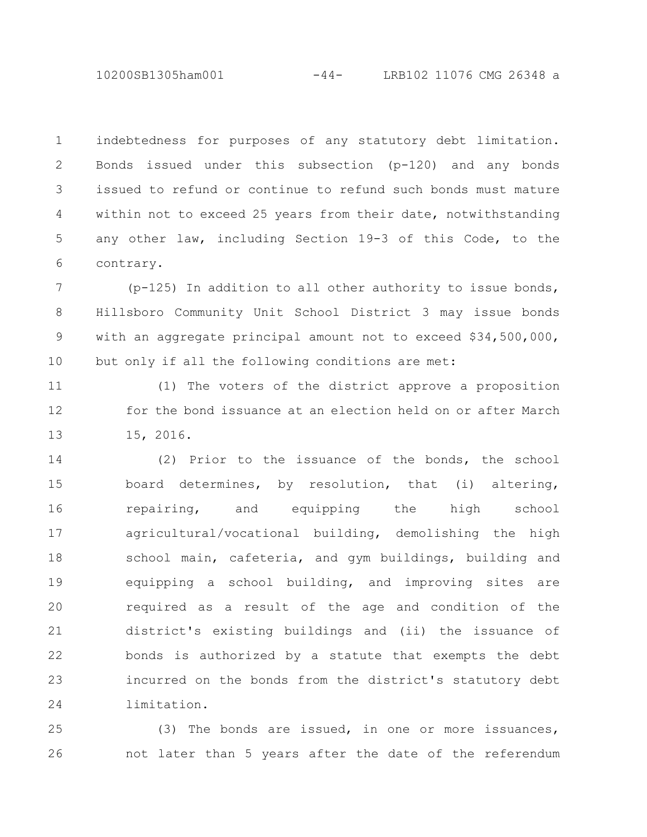10200SB1305ham001 -44- LRB102 11076 CMG 26348 a

indebtedness for purposes of any statutory debt limitation. Bonds issued under this subsection (p-120) and any bonds issued to refund or continue to refund such bonds must mature within not to exceed 25 years from their date, notwithstanding any other law, including Section 19-3 of this Code, to the contrary. 1 2 3 4 5 6

(p-125) In addition to all other authority to issue bonds, Hillsboro Community Unit School District 3 may issue bonds with an aggregate principal amount not to exceed \$34,500,000, but only if all the following conditions are met: 7 8 9 10

(1) The voters of the district approve a proposition for the bond issuance at an election held on or after March 15, 2016. 11 12 13

(2) Prior to the issuance of the bonds, the school board determines, by resolution, that (i) altering, repairing, and equipping the high school agricultural/vocational building, demolishing the high school main, cafeteria, and gym buildings, building and equipping a school building, and improving sites are required as a result of the age and condition of the district's existing buildings and (ii) the issuance of bonds is authorized by a statute that exempts the debt incurred on the bonds from the district's statutory debt limitation. 14 15 16 17 18 19 20 21 22 23 24

(3) The bonds are issued, in one or more issuances, not later than 5 years after the date of the referendum 25 26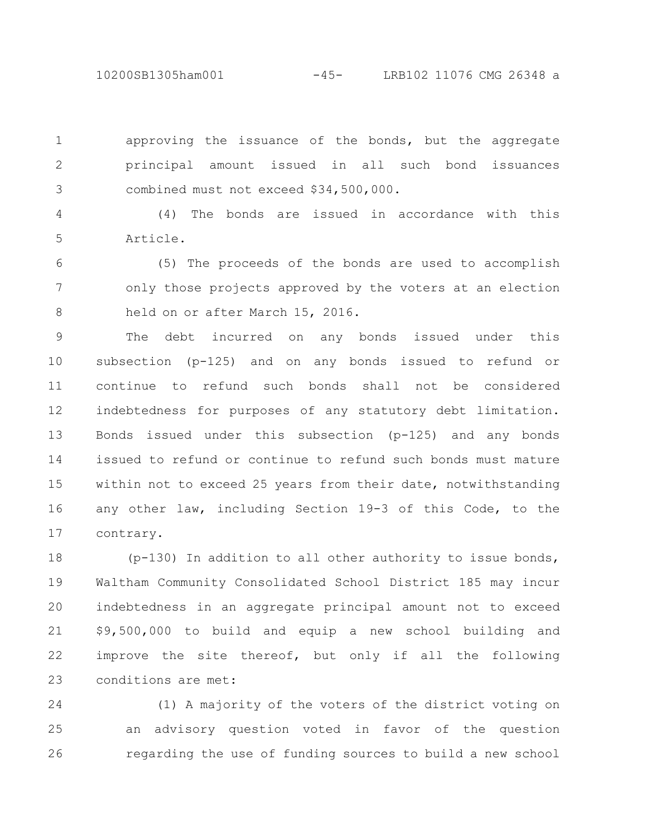10200SB1305ham001 -45- LRB102 11076 CMG 26348 a

approving the issuance of the bonds, but the aggregate principal amount issued in all such bond issuances combined must not exceed \$34,500,000. 1 2 3

(4) The bonds are issued in accordance with this Article. 4 5

(5) The proceeds of the bonds are used to accomplish only those projects approved by the voters at an election held on or after March 15, 2016. 6 7 8

The debt incurred on any bonds issued under this subsection (p-125) and on any bonds issued to refund or continue to refund such bonds shall not be considered indebtedness for purposes of any statutory debt limitation. Bonds issued under this subsection (p-125) and any bonds issued to refund or continue to refund such bonds must mature within not to exceed 25 years from their date, notwithstanding any other law, including Section 19-3 of this Code, to the contrary. 9 10 11 12 13 14 15 16 17

(p-130) In addition to all other authority to issue bonds, Waltham Community Consolidated School District 185 may incur indebtedness in an aggregate principal amount not to exceed \$9,500,000 to build and equip a new school building and improve the site thereof, but only if all the following conditions are met: 18 19 20 21 22 23

(1) A majority of the voters of the district voting on an advisory question voted in favor of the question regarding the use of funding sources to build a new school 24 25 26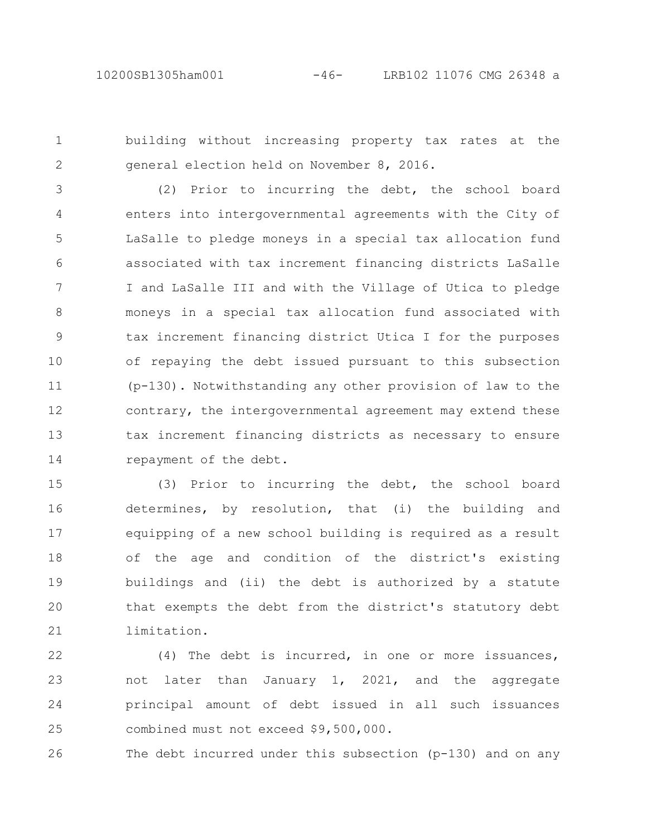building without increasing property tax rates at the general election held on November 8, 2016. 1 2

(2) Prior to incurring the debt, the school board enters into intergovernmental agreements with the City of LaSalle to pledge moneys in a special tax allocation fund associated with tax increment financing districts LaSalle I and LaSalle III and with the Village of Utica to pledge moneys in a special tax allocation fund associated with tax increment financing district Utica I for the purposes of repaying the debt issued pursuant to this subsection (p-130). Notwithstanding any other provision of law to the contrary, the intergovernmental agreement may extend these tax increment financing districts as necessary to ensure repayment of the debt. 3 4 5 6 7 8 9 10 11 12 13 14

(3) Prior to incurring the debt, the school board determines, by resolution, that (i) the building and equipping of a new school building is required as a result of the age and condition of the district's existing buildings and (ii) the debt is authorized by a statute that exempts the debt from the district's statutory debt limitation. 15 16 17 18 19 20 21

(4) The debt is incurred, in one or more issuances, not later than January 1, 2021, and the aggregate principal amount of debt issued in all such issuances combined must not exceed \$9,500,000. 22 23 24 25

The debt incurred under this subsection (p-130) and on any 26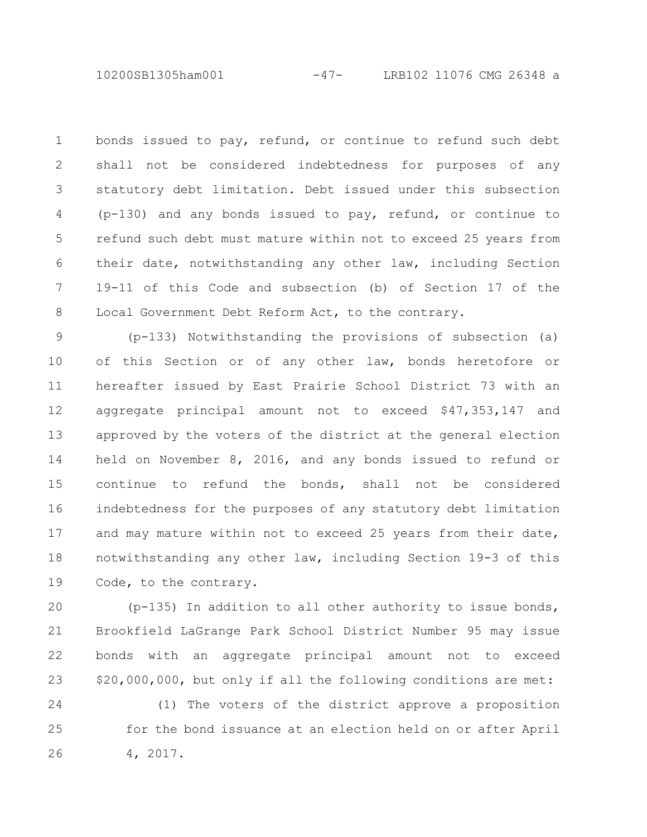10200SB1305ham001 -47- LRB102 11076 CMG 26348 a

bonds issued to pay, refund, or continue to refund such debt shall not be considered indebtedness for purposes of any statutory debt limitation. Debt issued under this subsection (p-130) and any bonds issued to pay, refund, or continue to refund such debt must mature within not to exceed 25 years from their date, notwithstanding any other law, including Section 19-11 of this Code and subsection (b) of Section 17 of the Local Government Debt Reform Act, to the contrary. 1 2 3 4 5 6 7 8

(p-133) Notwithstanding the provisions of subsection (a) of this Section or of any other law, bonds heretofore or hereafter issued by East Prairie School District 73 with an aggregate principal amount not to exceed \$47,353,147 and approved by the voters of the district at the general election held on November 8, 2016, and any bonds issued to refund or continue to refund the bonds, shall not be considered indebtedness for the purposes of any statutory debt limitation and may mature within not to exceed 25 years from their date, notwithstanding any other law, including Section 19-3 of this Code, to the contrary. 9 10 11 12 13 14 15 16 17 18 19

(p-135) In addition to all other authority to issue bonds, Brookfield LaGrange Park School District Number 95 may issue bonds with an aggregate principal amount not to exceed \$20,000,000, but only if all the following conditions are met: 20 21 22 23

(1) The voters of the district approve a proposition for the bond issuance at an election held on or after April 4, 2017. 24 25 26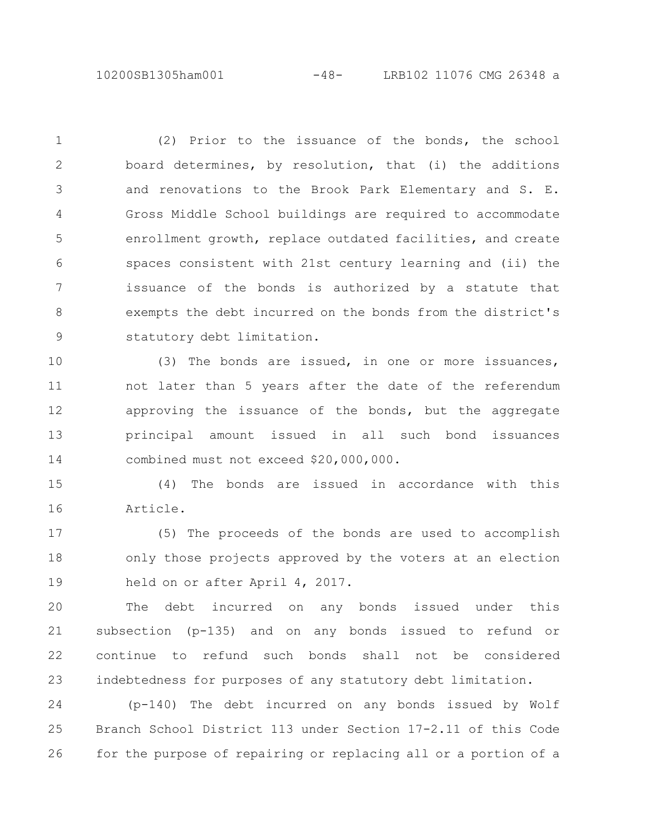10200SB1305ham001 -48- LRB102 11076 CMG 26348 a

(2) Prior to the issuance of the bonds, the school board determines, by resolution, that (i) the additions and renovations to the Brook Park Elementary and S. E. Gross Middle School buildings are required to accommodate enrollment growth, replace outdated facilities, and create spaces consistent with 21st century learning and (ii) the issuance of the bonds is authorized by a statute that exempts the debt incurred on the bonds from the district's statutory debt limitation. 1 2 3 4 5 6 7 8 9

(3) The bonds are issued, in one or more issuances, not later than 5 years after the date of the referendum approving the issuance of the bonds, but the aggregate principal amount issued in all such bond issuances combined must not exceed \$20,000,000. 10 11 12 13 14

(4) The bonds are issued in accordance with this Article. 15 16

(5) The proceeds of the bonds are used to accomplish only those projects approved by the voters at an election held on or after April 4, 2017. 17 18 19

The debt incurred on any bonds issued under this subsection (p-135) and on any bonds issued to refund or continue to refund such bonds shall not be considered indebtedness for purposes of any statutory debt limitation. 20 21 22 23

(p-140) The debt incurred on any bonds issued by Wolf Branch School District 113 under Section 17-2.11 of this Code for the purpose of repairing or replacing all or a portion of a 24 25 26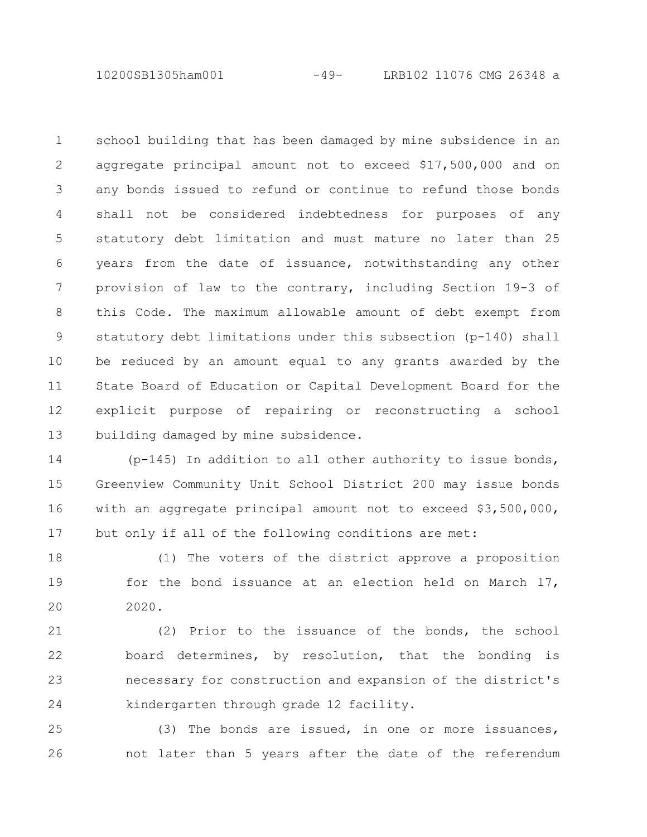10200SB1305ham001 -49- LRB102 11076 CMG 26348 a

school building that has been damaged by mine subsidence in an aggregate principal amount not to exceed \$17,500,000 and on any bonds issued to refund or continue to refund those bonds shall not be considered indebtedness for purposes of any statutory debt limitation and must mature no later than 25 years from the date of issuance, notwithstanding any other provision of law to the contrary, including Section 19-3 of this Code. The maximum allowable amount of debt exempt from statutory debt limitations under this subsection (p-140) shall be reduced by an amount equal to any grants awarded by the State Board of Education or Capital Development Board for the explicit purpose of repairing or reconstructing a school building damaged by mine subsidence. 1 2 3 4 5 6 7 8 9 10 11 12 13

(p-145) In addition to all other authority to issue bonds, Greenview Community Unit School District 200 may issue bonds with an aggregate principal amount not to exceed \$3,500,000, but only if all of the following conditions are met: 14 15 16 17

(1) The voters of the district approve a proposition for the bond issuance at an election held on March 17, 2020. 18 19 20

(2) Prior to the issuance of the bonds, the school board determines, by resolution, that the bonding is necessary for construction and expansion of the district's kindergarten through grade 12 facility. 21 22 23 24

(3) The bonds are issued, in one or more issuances, not later than 5 years after the date of the referendum 25 26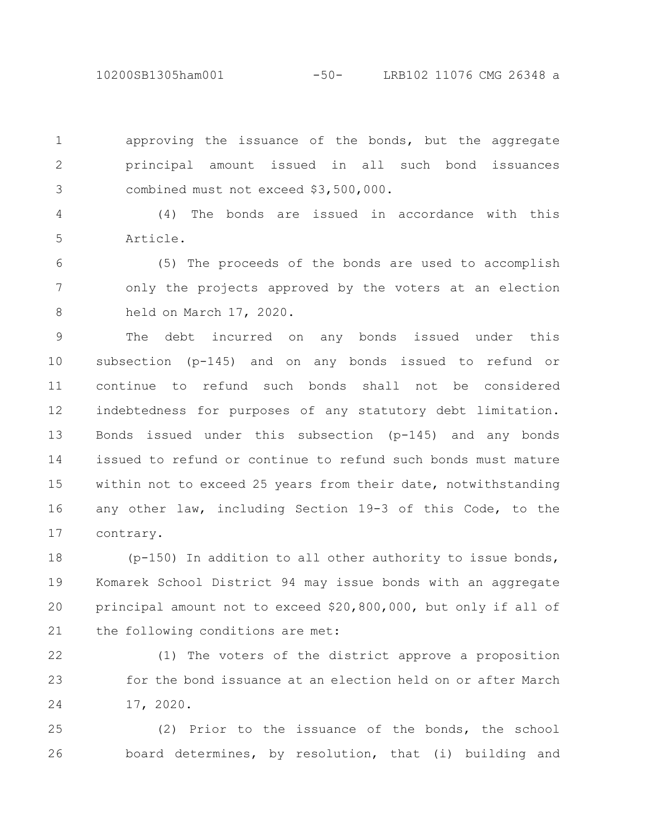10200SB1305ham001 -50- LRB102 11076 CMG 26348 a

approving the issuance of the bonds, but the aggregate principal amount issued in all such bond issuances combined must not exceed \$3,500,000. 1 2 3

(4) The bonds are issued in accordance with this Article. 4 5

(5) The proceeds of the bonds are used to accomplish only the projects approved by the voters at an election held on March 17, 2020. 6 7 8

The debt incurred on any bonds issued under this subsection (p-145) and on any bonds issued to refund or continue to refund such bonds shall not be considered indebtedness for purposes of any statutory debt limitation. Bonds issued under this subsection (p-145) and any bonds issued to refund or continue to refund such bonds must mature within not to exceed 25 years from their date, notwithstanding any other law, including Section 19-3 of this Code, to the contrary. 9 10 11 12 13 14 15 16 17

(p-150) In addition to all other authority to issue bonds, Komarek School District 94 may issue bonds with an aggregate principal amount not to exceed \$20,800,000, but only if all of the following conditions are met: 18 19 20 21

(1) The voters of the district approve a proposition for the bond issuance at an election held on or after March 17, 2020. 22 23 24

(2) Prior to the issuance of the bonds, the school board determines, by resolution, that (i) building and 25 26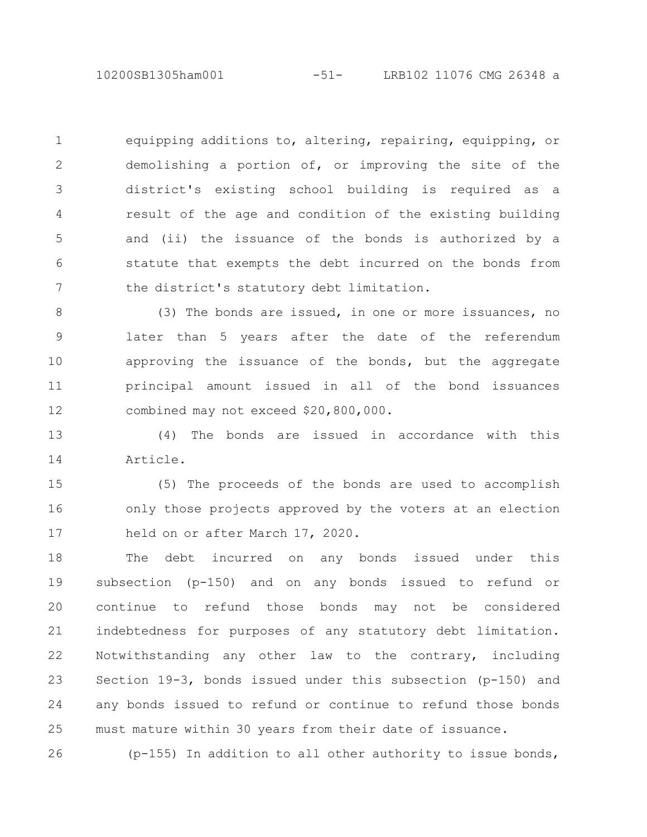10200SB1305ham001 -51- LRB102 11076 CMG 26348 a

equipping additions to, altering, repairing, equipping, or demolishing a portion of, or improving the site of the district's existing school building is required as a result of the age and condition of the existing building and (ii) the issuance of the bonds is authorized by a statute that exempts the debt incurred on the bonds from the district's statutory debt limitation. 1 2 3 4 5 6 7

(3) The bonds are issued, in one or more issuances, no later than 5 years after the date of the referendum approving the issuance of the bonds, but the aggregate principal amount issued in all of the bond issuances combined may not exceed \$20,800,000. 8 9 10 11 12

(4) The bonds are issued in accordance with this Article. 13 14

(5) The proceeds of the bonds are used to accomplish only those projects approved by the voters at an election held on or after March 17, 2020. 15 16 17

The debt incurred on any bonds issued under this subsection (p-150) and on any bonds issued to refund or continue to refund those bonds may not be considered indebtedness for purposes of any statutory debt limitation. Notwithstanding any other law to the contrary, including Section 19-3, bonds issued under this subsection (p-150) and any bonds issued to refund or continue to refund those bonds must mature within 30 years from their date of issuance. 18 19 20 21 22 23 24 25

(p-155) In addition to all other authority to issue bonds, 26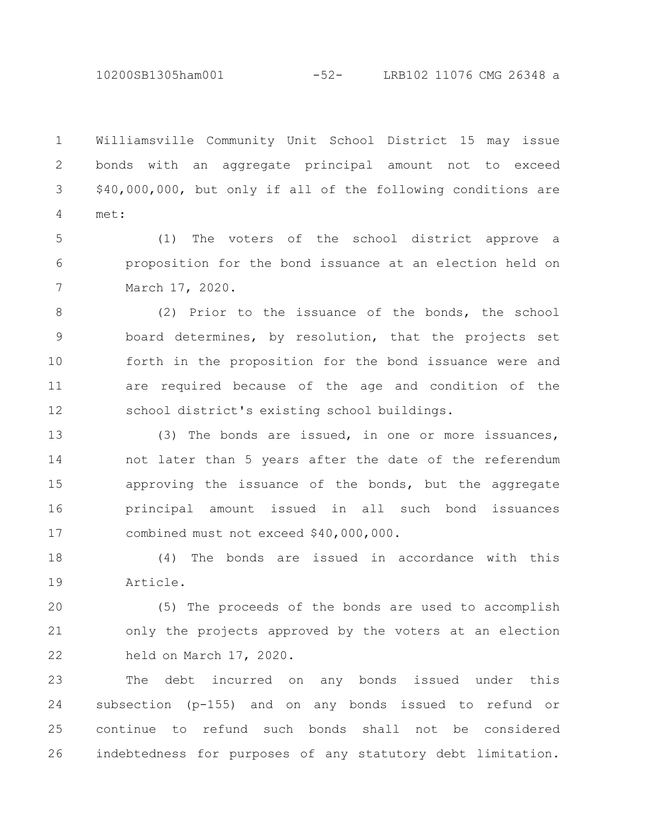10200SB1305ham001 -52- LRB102 11076 CMG 26348 a

Williamsville Community Unit School District 15 may issue bonds with an aggregate principal amount not to exceed \$40,000,000, but only if all of the following conditions are met: 1 2 3 4

(1) The voters of the school district approve a proposition for the bond issuance at an election held on March 17, 2020. 5 6 7

(2) Prior to the issuance of the bonds, the school board determines, by resolution, that the projects set forth in the proposition for the bond issuance were and are required because of the age and condition of the school district's existing school buildings. 8 9 10 11 12

(3) The bonds are issued, in one or more issuances, not later than 5 years after the date of the referendum approving the issuance of the bonds, but the aggregate principal amount issued in all such bond issuances combined must not exceed \$40,000,000. 13 14 15 16 17

(4) The bonds are issued in accordance with this Article. 18 19

(5) The proceeds of the bonds are used to accomplish only the projects approved by the voters at an election held on March 17, 2020. 20 21 22

The debt incurred on any bonds issued under this subsection (p-155) and on any bonds issued to refund or continue to refund such bonds shall not be considered indebtedness for purposes of any statutory debt limitation. 23 24 25 26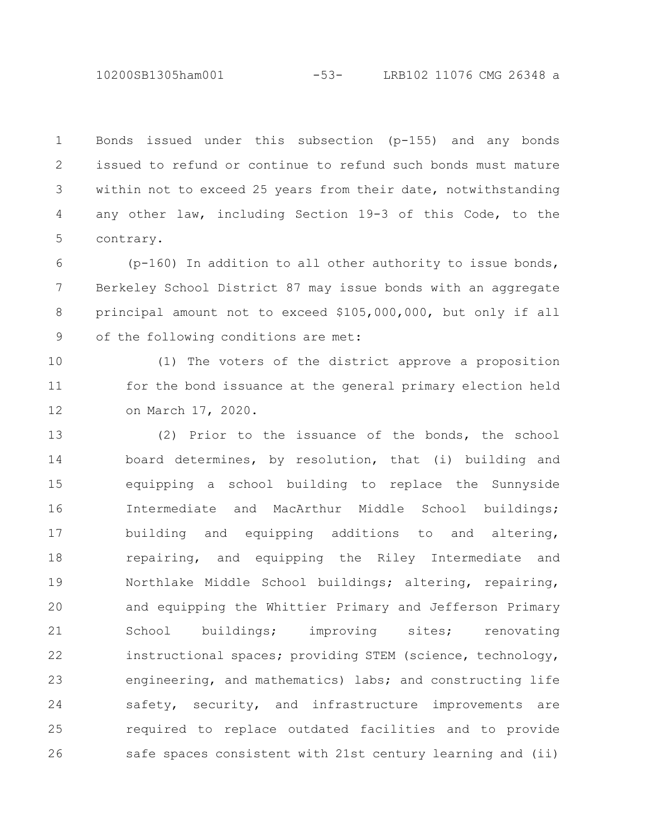10200SB1305ham001 -53- LRB102 11076 CMG 26348 a

Bonds issued under this subsection (p-155) and any bonds issued to refund or continue to refund such bonds must mature within not to exceed 25 years from their date, notwithstanding any other law, including Section 19-3 of this Code, to the contrary. 1 2 3 4 5

(p-160) In addition to all other authority to issue bonds, Berkeley School District 87 may issue bonds with an aggregate principal amount not to exceed \$105,000,000, but only if all of the following conditions are met: 6 7 8 9

(1) The voters of the district approve a proposition for the bond issuance at the general primary election held on March 17, 2020. 10 11 12

(2) Prior to the issuance of the bonds, the school board determines, by resolution, that (i) building and equipping a school building to replace the Sunnyside Intermediate and MacArthur Middle School buildings; building and equipping additions to and altering, repairing, and equipping the Riley Intermediate and Northlake Middle School buildings; altering, repairing, and equipping the Whittier Primary and Jefferson Primary School buildings; improving sites; renovating instructional spaces; providing STEM (science, technology, engineering, and mathematics) labs; and constructing life safety, security, and infrastructure improvements are required to replace outdated facilities and to provide safe spaces consistent with 21st century learning and (ii) 13 14 15 16 17 18 19 20 21 22 23 24 25 26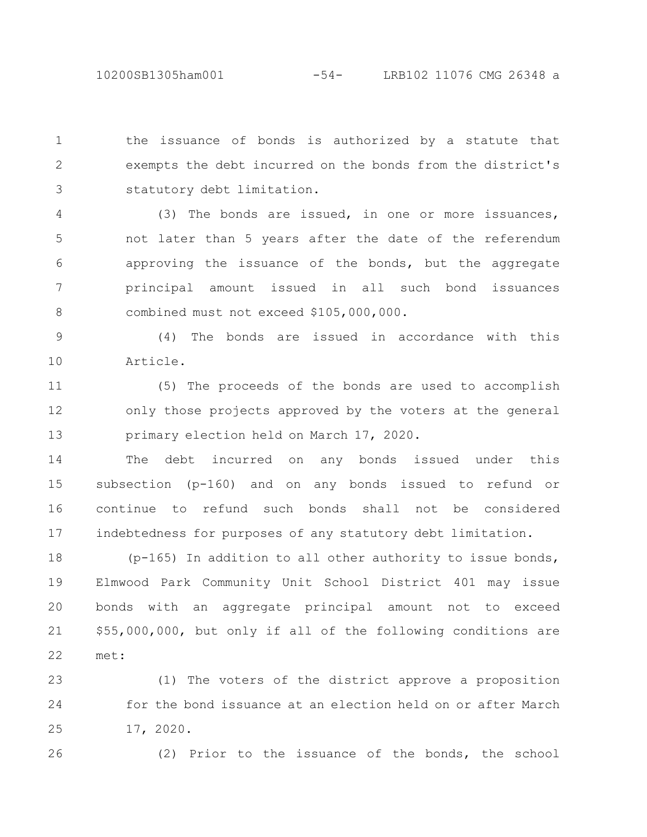the issuance of bonds is authorized by a statute that exempts the debt incurred on the bonds from the district's statutory debt limitation. 1 2 3

(3) The bonds are issued, in one or more issuances, not later than 5 years after the date of the referendum approving the issuance of the bonds, but the aggregate principal amount issued in all such bond issuances combined must not exceed \$105,000,000. 4 5 6 7 8

(4) The bonds are issued in accordance with this Article. 9 10

(5) The proceeds of the bonds are used to accomplish only those projects approved by the voters at the general primary election held on March 17, 2020. 11 12 13

The debt incurred on any bonds issued under this subsection (p-160) and on any bonds issued to refund or continue to refund such bonds shall not be considered indebtedness for purposes of any statutory debt limitation. 14 15 16 17

(p-165) In addition to all other authority to issue bonds, Elmwood Park Community Unit School District 401 may issue bonds with an aggregate principal amount not to exceed \$55,000,000, but only if all of the following conditions are met: 18 19 20 21 22

(1) The voters of the district approve a proposition for the bond issuance at an election held on or after March 17, 2020. 23 24 25

26

(2) Prior to the issuance of the bonds, the school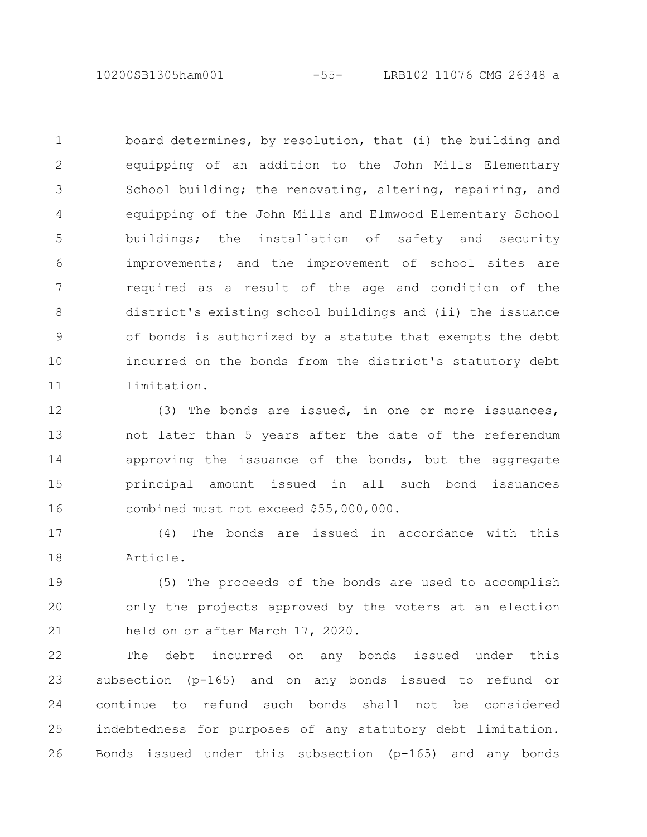10200SB1305ham001 -55- LRB102 11076 CMG 26348 a

board determines, by resolution, that (i) the building and equipping of an addition to the John Mills Elementary School building; the renovating, altering, repairing, and equipping of the John Mills and Elmwood Elementary School buildings; the installation of safety and security improvements; and the improvement of school sites are required as a result of the age and condition of the district's existing school buildings and (ii) the issuance of bonds is authorized by a statute that exempts the debt incurred on the bonds from the district's statutory debt limitation. 1 2 3 4 5 6 7 8 9 10 11

(3) The bonds are issued, in one or more issuances, not later than 5 years after the date of the referendum approving the issuance of the bonds, but the aggregate principal amount issued in all such bond issuances combined must not exceed \$55,000,000. 12 13 14 15 16

(4) The bonds are issued in accordance with this Article. 17 18

(5) The proceeds of the bonds are used to accomplish only the projects approved by the voters at an election held on or after March 17, 2020. 19 20 21

The debt incurred on any bonds issued under this subsection (p-165) and on any bonds issued to refund or continue to refund such bonds shall not be considered indebtedness for purposes of any statutory debt limitation. Bonds issued under this subsection (p-165) and any bonds 22 23 24 25 26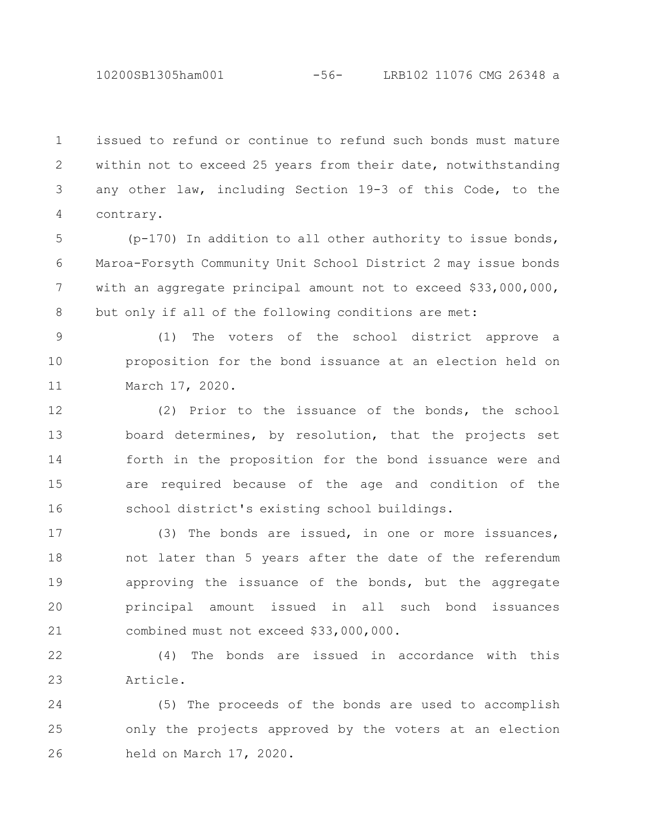10200SB1305ham001 -56- LRB102 11076 CMG 26348 a

issued to refund or continue to refund such bonds must mature within not to exceed 25 years from their date, notwithstanding any other law, including Section 19-3 of this Code, to the contrary. 1 2 3 4

(p-170) In addition to all other authority to issue bonds, Maroa-Forsyth Community Unit School District 2 may issue bonds with an aggregate principal amount not to exceed \$33,000,000, but only if all of the following conditions are met: 5 6 7 8

(1) The voters of the school district approve a proposition for the bond issuance at an election held on March 17, 2020. 9 10 11

(2) Prior to the issuance of the bonds, the school board determines, by resolution, that the projects set forth in the proposition for the bond issuance were and are required because of the age and condition of the school district's existing school buildings. 12 13 14 15 16

(3) The bonds are issued, in one or more issuances, not later than 5 years after the date of the referendum approving the issuance of the bonds, but the aggregate principal amount issued in all such bond issuances combined must not exceed \$33,000,000. 17 18 19 20 21

(4) The bonds are issued in accordance with this Article. 22 23

(5) The proceeds of the bonds are used to accomplish only the projects approved by the voters at an election held on March 17, 2020. 24 25 26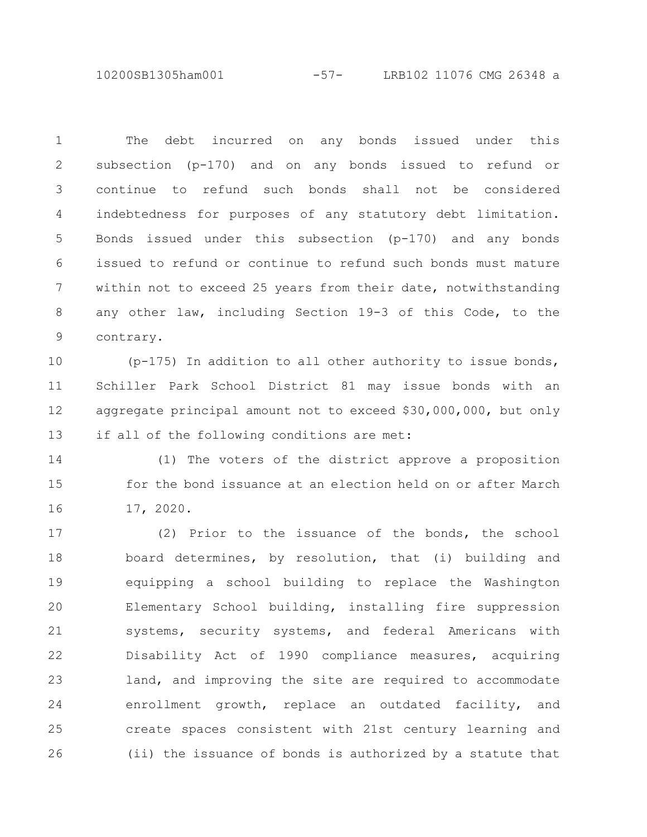10200SB1305ham001 -57- LRB102 11076 CMG 26348 a

The debt incurred on any bonds issued under this subsection (p-170) and on any bonds issued to refund or continue to refund such bonds shall not be considered indebtedness for purposes of any statutory debt limitation. Bonds issued under this subsection (p-170) and any bonds issued to refund or continue to refund such bonds must mature within not to exceed 25 years from their date, notwithstanding any other law, including Section 19-3 of this Code, to the contrary. 1 2 3 4 5 6 7 8 9

(p-175) In addition to all other authority to issue bonds, Schiller Park School District 81 may issue bonds with an aggregate principal amount not to exceed \$30,000,000, but only if all of the following conditions are met: 10 11 12 13

(1) The voters of the district approve a proposition for the bond issuance at an election held on or after March 17, 2020. 14 15 16

(2) Prior to the issuance of the bonds, the school board determines, by resolution, that (i) building and equipping a school building to replace the Washington Elementary School building, installing fire suppression systems, security systems, and federal Americans with Disability Act of 1990 compliance measures, acquiring land, and improving the site are required to accommodate enrollment growth, replace an outdated facility, and create spaces consistent with 21st century learning and (ii) the issuance of bonds is authorized by a statute that 17 18 19 20 21 22 23 24 25 26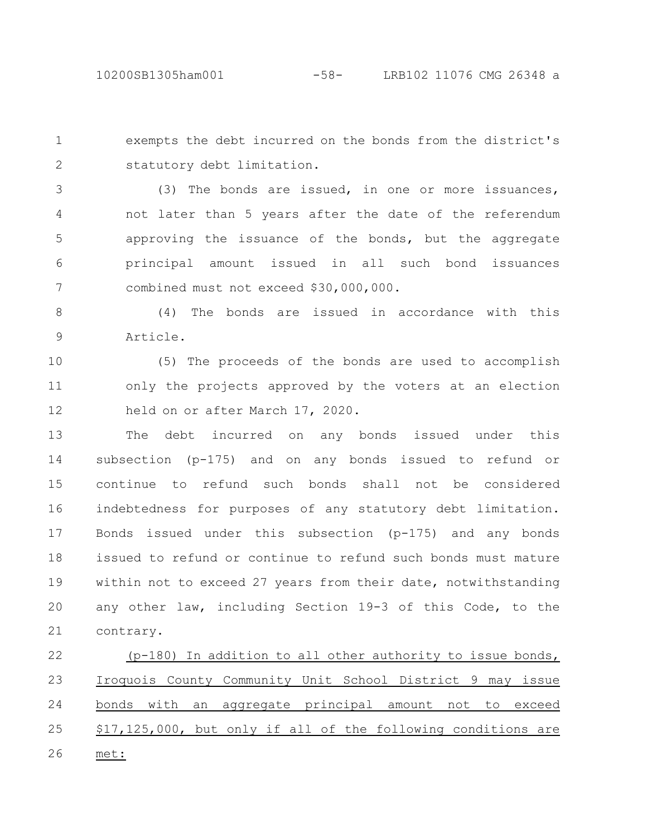exempts the debt incurred on the bonds from the district's statutory debt limitation. 1 2

(3) The bonds are issued, in one or more issuances, not later than 5 years after the date of the referendum approving the issuance of the bonds, but the aggregate principal amount issued in all such bond issuances combined must not exceed \$30,000,000. 3 4 5 6 7

(4) The bonds are issued in accordance with this Article. 8 9

(5) The proceeds of the bonds are used to accomplish only the projects approved by the voters at an election held on or after March 17, 2020. 10 11 12

The debt incurred on any bonds issued under this subsection (p-175) and on any bonds issued to refund or continue to refund such bonds shall not be considered indebtedness for purposes of any statutory debt limitation. Bonds issued under this subsection (p-175) and any bonds issued to refund or continue to refund such bonds must mature within not to exceed 27 years from their date, notwithstanding any other law, including Section 19-3 of this Code, to the contrary. 13 14 15 16 17 18 19 20 21

(p-180) In addition to all other authority to issue bonds, Iroquois County Community Unit School District 9 may issue bonds with an aggregate principal amount not to exceed \$17,125,000, but only if all of the following conditions are met: 22 23 24 25 26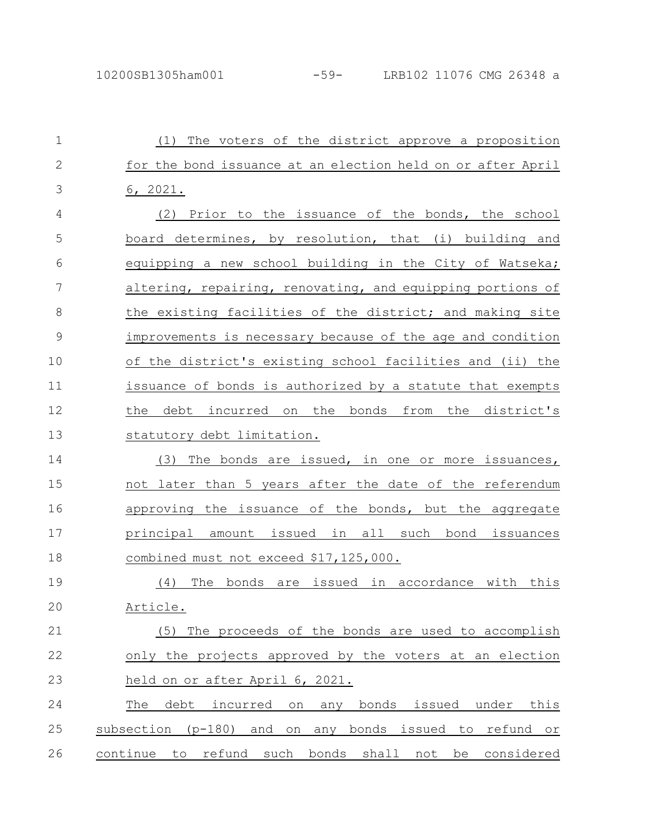| $\mathbf{1}$  | The voters of the district approve a proposition<br>(1)                  |
|---------------|--------------------------------------------------------------------------|
| $\mathbf{2}$  | for the bond issuance at an election held on or after April              |
| 3             | 6, 2021.                                                                 |
| 4             | Prior to the issuance of the bonds, the school<br>(2)                    |
| 5             | board determines, by resolution, that (i) building and                   |
| 6             | equipping a new school building in the City of Watseka;                  |
| 7             | altering, repairing, renovating, and equipping portions of               |
| 8             | the existing facilities of the district; and making site                 |
| $\mathcal{G}$ | improvements is necessary because of the age and condition               |
| 10            | of the district's existing school facilities and (ii) the                |
| 11            | issuance of bonds is authorized by a statute that exempts                |
| 12            | debt incurred on the bonds from the district's<br>the                    |
| 13            | statutory debt limitation.                                               |
| 14            | The bonds are issued, in one or more issuances,<br>(3)                   |
| 15            | not later than 5 years after the date of the referendum                  |
| 16            | approving the issuance of the bonds, but the aggregate                   |
| 17            | principal amount issued in all such bond issuances                       |
| 18            | combined must not exceed \$17,125,000.                                   |
| 19            | The<br>bonds are issued in accordance with<br>(4)<br>this                |
| 20            | Article.                                                                 |
| 21            | The proceeds of the bonds are used to accomplish<br>(5)                  |
| 22            | only the projects approved by the voters at an election                  |
| 23            | held on or after April 6, 2021.                                          |
| 24            | debt<br>this<br>The<br>incurred<br>bonds<br>issued<br>under<br>on<br>any |
| 25            | subsection (p-180)<br>and<br>any bonds issued to<br>on<br>refund or      |
| 26            | refund such<br>continue to<br>bonds<br>shall<br>not<br>be<br>considered  |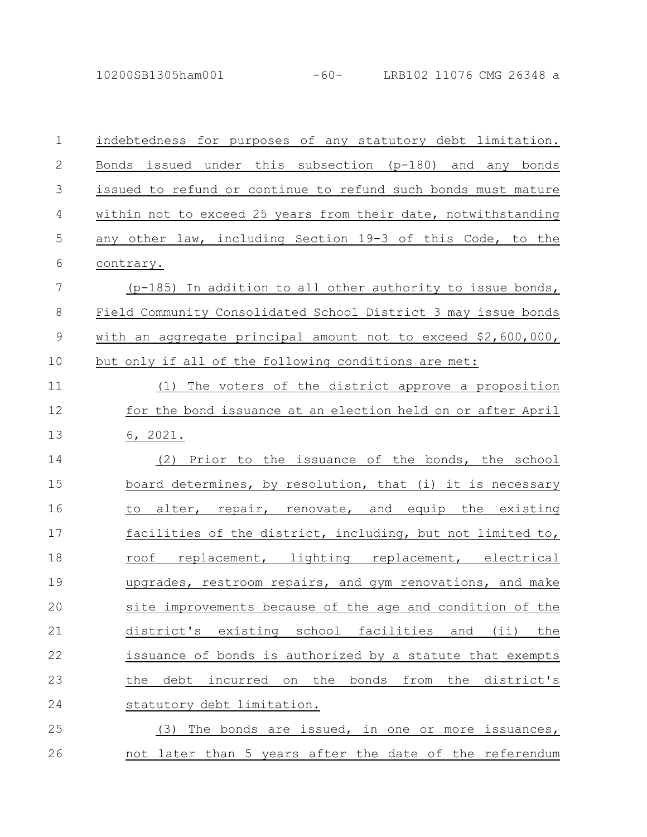10200SB1305ham001 -60- LRB102 11076 CMG 26348 a

| $\mathbf 1$  | indebtedness for purposes of any statutory debt limitation.    |
|--------------|----------------------------------------------------------------|
| $\mathbf{2}$ | issued under this subsection (p-180) and any bonds<br>Bonds    |
| 3            | issued to refund or continue to refund such bonds must mature  |
| 4            | within not to exceed 25 years from their date, notwithstanding |
| 5            | any other law, including Section 19-3 of this Code, to the     |
| 6            | contrary.                                                      |
| 7            | (p-185) In addition to all other authority to issue bonds,     |
| 8            | Field Community Consolidated School District 3 may issue bonds |
| $\mathsf 9$  | with an aggregate principal amount not to exceed \$2,600,000,  |
| 10           | but only if all of the following conditions are met:           |
| 11           | The voters of the district approve a proposition<br>(1)        |
| 12           | for the bond issuance at an election held on or after April    |
| 13           | 6, 2021.                                                       |
| 14           | (2) Prior to the issuance of the bonds, the school             |
| 15           | board determines, by resolution, that (i) it is necessary      |
| 16           | alter, repair, renovate, and equip the existing<br>to          |
| 17           | facilities of the district, including, but not limited to,     |
| 18           | roof replacement, lighting replacement, electrical             |
| 19           | upgrades, restroom repairs, and gym renovations, and make      |
| 20           | site improvements because of the age and condition of the      |
| 21           | district's existing school facilities and<br>$(i$ i)<br>the    |
| 22           | issuance of bonds is authorized by a statute that exempts      |
| 23           | debt<br>incurred on the bonds<br>from the district's<br>the    |
| 24           | statutory debt limitation.                                     |
| 25           | The bonds are issued, in one or more issuances,<br>(3)         |
| 26           | not later than 5 years after the date of the referendum        |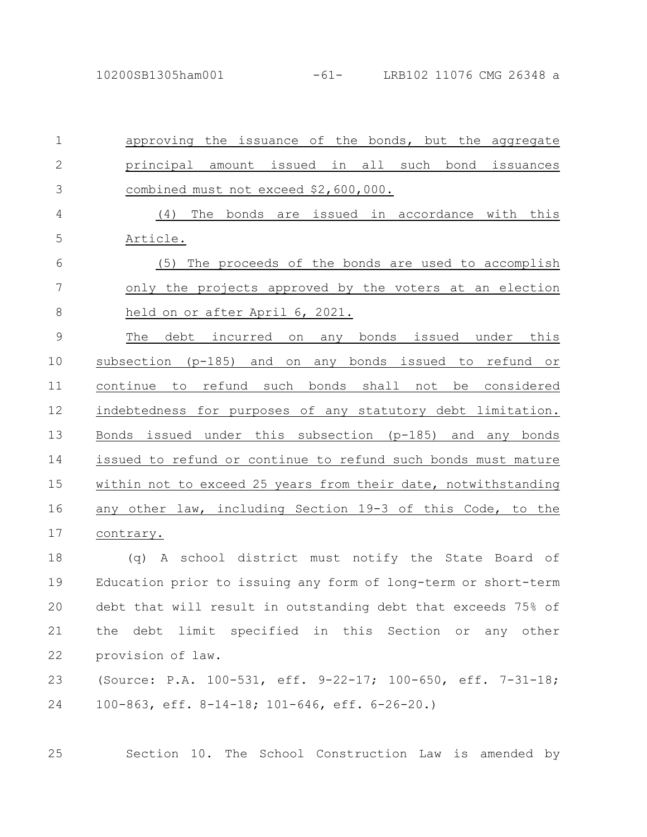approving the issuance of the bonds, but the aggregate principal amount issued in all such bond issuances combined must not exceed \$2,600,000. (4) The bonds are issued in accordance with this Article. (5) The proceeds of the bonds are used to accomplish only the projects approved by the voters at an election held on or after April 6, 2021. The debt incurred on any bonds issued under this subsection (p-185) and on any bonds issued to refund or continue to refund such bonds shall not be considered indebtedness for purposes of any statutory debt limitation. Bonds issued under this subsection (p-185) and any bonds issued to refund or continue to refund such bonds must mature within not to exceed 25 years from their date, notwithstanding any other law, including Section 19-3 of this Code, to the contrary. (q) A school district must notify the State Board of Education prior to issuing any form of long-term or short-term debt that will result in outstanding debt that exceeds 75% of the debt limit specified in this Section or any other provision of law. (Source: P.A. 100-531, eff. 9-22-17; 100-650, eff. 7-31-18; 100-863, eff. 8-14-18; 101-646, eff. 6-26-20.) 1 2 3 4 5 6 7 8 9 10 11 12 13 14 15 16 17 18 19 20 21 22 23 24

25

Section 10. The School Construction Law is amended by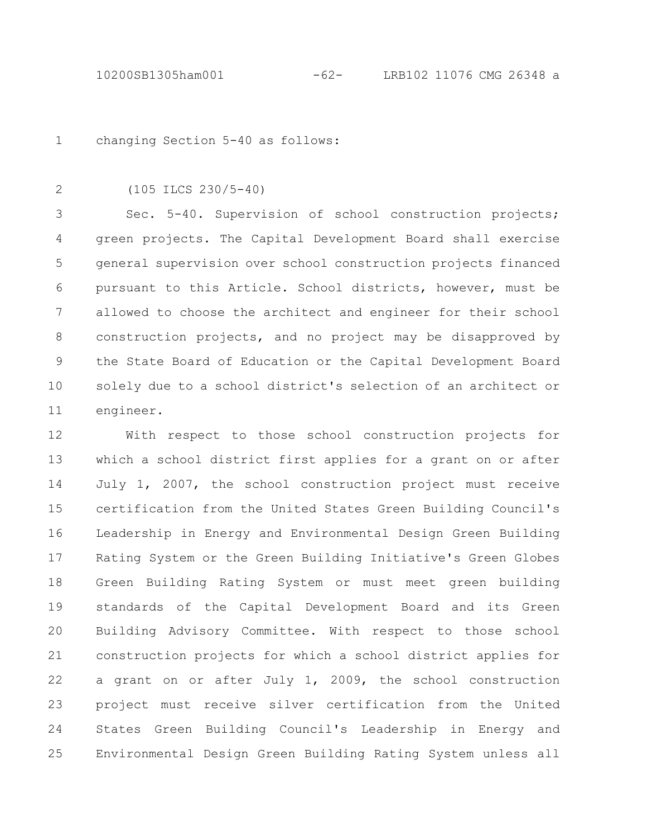changing Section 5-40 as follows: 1

2

(105 ILCS 230/5-40)

Sec. 5-40. Supervision of school construction projects; green projects. The Capital Development Board shall exercise general supervision over school construction projects financed pursuant to this Article. School districts, however, must be allowed to choose the architect and engineer for their school construction projects, and no project may be disapproved by the State Board of Education or the Capital Development Board solely due to a school district's selection of an architect or engineer. 3 4 5 6 7 8 9 10 11

With respect to those school construction projects for which a school district first applies for a grant on or after July 1, 2007, the school construction project must receive certification from the United States Green Building Council's Leadership in Energy and Environmental Design Green Building Rating System or the Green Building Initiative's Green Globes Green Building Rating System or must meet green building standards of the Capital Development Board and its Green Building Advisory Committee. With respect to those school construction projects for which a school district applies for a grant on or after July 1, 2009, the school construction project must receive silver certification from the United States Green Building Council's Leadership in Energy and Environmental Design Green Building Rating System unless all 12 13 14 15 16 17 18 19 20 21 22 23 24 25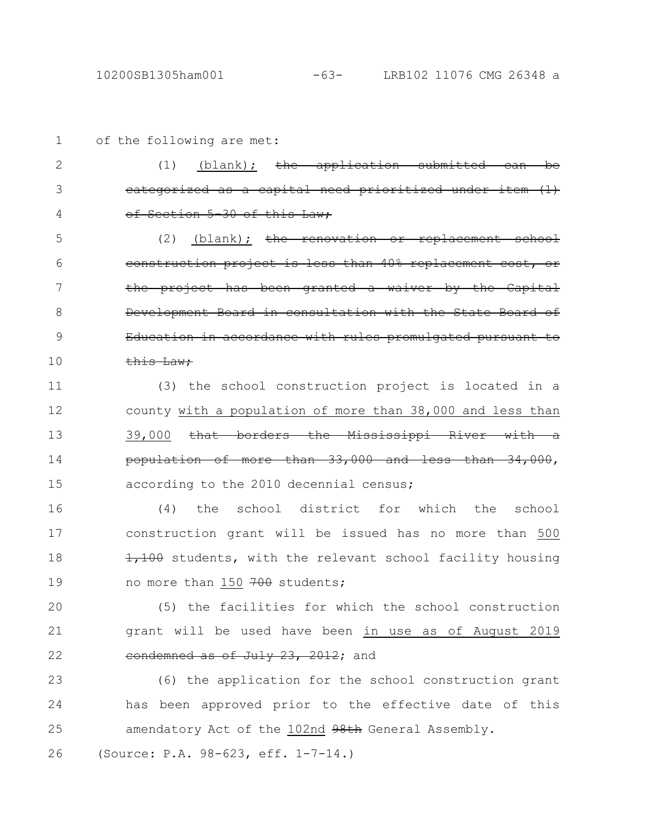3

4

of the following are met: (1) (blank); the application submitted can be 1 2

categorized as a capital need prioriti of Section 5-30 of this Law;

 $(2)$  (blank); the renovation or replacement school construction project is less than 40% replacement the project has been granted a waiver by the Capital Development Board in consultation with the State Board Education in accordance with rules promulgated pursuant this Law; 5 6 7 8 9 10

(3) the school construction project is located in a county with a population of more than 38,000 and less than 39,000 that borders the Mississippi River with population of more than 33,000 and according to the 2010 decennial census; 11 12 13 14 15

(4) the school district for which the school construction grant will be issued has no more than 500 1,100 students, with the relevant school facility housing no more than 150 700 students; 16 17 18 19

(5) the facilities for which the school construction grant will be used have been in use as of August 2019 eondemned as of July 23, 2012; and 20 21 22

(6) the application for the school construction grant has been approved prior to the effective date of this amendatory Act of the 102nd 98th General Assembly. 23 24 25

(Source: P.A. 98-623, eff. 1-7-14.) 26